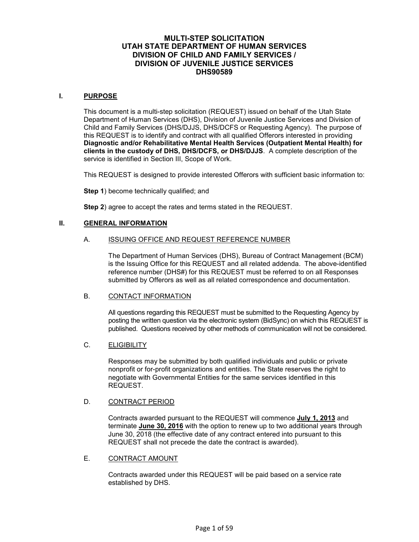#### **MULTI-STEP SOLICITATION UTAH STATE DEPARTMENT OF HUMAN SERVICES DIVISION OF CHILD AND FAMILY SERVICES / DIVISION OF JUVENILE JUSTICE SERVICES DHS90589**

#### **I. PURPOSE**

This document is a multi-step solicitation (REQUEST) issued on behalf of the Utah State Department of Human Services (DHS), Division of Juvenile Justice Services and Division of Child and Family Services (DHS/DJJS, DHS/DCFS or Requesting Agency). The purpose of this REQUEST is to identify and contract with all qualified Offerors interested in providing **Diagnostic and/or Rehabilitative Mental Health Services (Outpatient Mental Health) for clients in the custody of DHS, DHS/DCFS, or DHS/DJJS**. A complete description of the service is identified in Section III, Scope of Work.

This REQUEST is designed to provide interested Offerors with sufficient basic information to:

**Step 1**) become technically qualified; and

**Step 2**) agree to accept the rates and terms stated in the REQUEST.

#### **II. GENERAL INFORMATION**

#### A. ISSUING OFFICE AND REQUEST REFERENCE NUMBER

The Department of Human Services (DHS), Bureau of Contract Management (BCM) is the Issuing Office for this REQUEST and all related addenda. The above-identified reference number (DHS#) for this REQUEST must be referred to on all Responses submitted by Offerors as well as all related correspondence and documentation.

#### B. CONTACT INFORMATION

All questions regarding this REQUEST must be submitted to the Requesting Agency by posting the written question via the electronic system (BidSync) on which this REQUEST is published. Questions received by other methods of communication will not be considered.

#### C. ELIGIBILITY

Responses may be submitted by both qualified individuals and public or private nonprofit or for-profit organizations and entities. The State reserves the right to negotiate with Governmental Entities for the same services identified in this REQUEST.

#### D. CONTRACT PERIOD

Contracts awarded pursuant to the REQUEST will commence **July 1, 2013** and terminate **June 30, 2016** with the option to renew up to two additional years through June 30, 2018 (the effective date of any contract entered into pursuant to this REQUEST shall not precede the date the contract is awarded).

#### E. CONTRACT AMOUNT

Contracts awarded under this REQUEST will be paid based on a service rate established by DHS.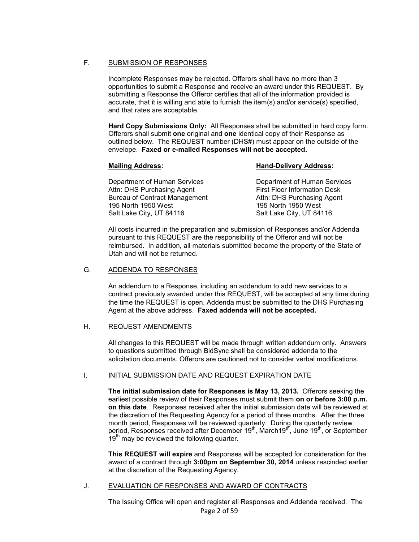#### F. SUBMISSION OF RESPONSES

Incomplete Responses may be rejected. Offerors shall have no more than 3 opportunities to submit a Response and receive an award under this REQUEST. By submitting a Response the Offeror certifies that all of the information provided is accurate, that it is willing and able to furnish the item(s) and/or service(s) specified, and that rates are acceptable.

**Hard Copy Submissions Only:** All Responses shall be submitted in hard copy form. Offerors shall submit **one** original and **one** identical copy of their Response as outlined below. The REQUEST number (DHS#) must appear on the outside of the envelope. **Faxed or e-mailed Responses will not be accepted.**

#### **Mailing Address:** Mailing Address: Mailing Address:

 Department of Human Services Department of Human Services Attn: DHS Purchasing Agent First Floor Information Desk<br>Bureau of Contract Management Attn: DHS Purchasing Agent Bureau of Contract Management 195 North 1950 West 195 North 1950 West Salt Lake City, UT 84116 Salt Lake City, UT 84116

All costs incurred in the preparation and submission of Responses and/or Addenda pursuant to this REQUEST are the responsibility of the Offeror and will not be reimbursed. In addition, all materials submitted become the property of the State of Utah and will not be returned.

#### G. ADDENDA TO RESPONSES

An addendum to a Response, including an addendum to add new services to a contract previously awarded under this REQUEST, will be accepted at any time during the time the REQUEST is open. Addenda must be submitted to the DHS Purchasing Agent at the above address. **Faxed addenda will not be accepted.** 

#### H. REQUEST AMENDMENTS

All changes to this REQUEST will be made through written addendum only. Answers to questions submitted through BidSync shall be considered addenda to the solicitation documents. Offerors are cautioned not to consider verbal modifications.

#### I. INITIAL SUBMISSION DATE AND REQUEST EXPIRATION DATE

**The initial submission date for Responses is May 13, 2013***.* Offerors seeking the earliest possible review of their Responses must submit them **on or before 3:00 p.m. on this date**. Responses received after the initial submission date will be reviewed at the discretion of the Requesting Agency for a period of three months. After the three month period, Responses will be reviewed quarterly. During the quarterly review period, Responses received after December 19<sup>th</sup>, March19<sup>th</sup>, June 19<sup>th</sup>, or September  $19<sup>th</sup>$  may be reviewed the following quarter.

**This REQUEST will expire** and Responses will be accepted for consideration for the award of a contract through **3:00pm on September 30, 2014** unless rescinded earlier at the discretion of the Requesting Agency.

#### J. EVALUATION OF RESPONSES AND AWARD OF CONTRACTS

Page 2 of 59 The Issuing Office will open and register all Responses and Addenda received. The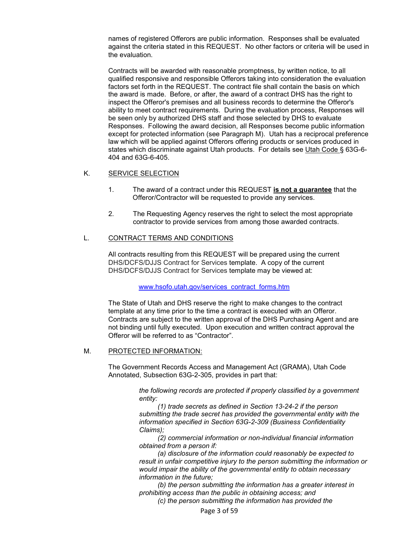names of registered Offerors are public information. Responses shall be evaluated against the criteria stated in this REQUEST. No other factors or criteria will be used in the evaluation.

Contracts will be awarded with reasonable promptness, by written notice, to all qualified responsive and responsible Offerors taking into consideration the evaluation factors set forth in the REQUEST. The contract file shall contain the basis on which the award is made. Before, or after, the award of a contract DHS has the right to inspect the Offeror's premises and all business records to determine the Offeror's ability to meet contract requirements. During the evaluation process, Responses will be seen only by authorized DHS staff and those selected by DHS to evaluate Responses. Following the award decision, all Responses become public information except for protected information (see Paragraph M). Utah has a reciprocal preference law which will be applied against Offerors offering products or services produced in states which discriminate against Utah products. For details see Utah Code § 63G-6- 404 and 63G-6-405.

#### K. SERVICE SELECTION

- 1. The award of a contract under this REQUEST **is not a guarantee** that the Offeror/Contractor will be requested to provide any services.
- 2. The Requesting Agency reserves the right to select the most appropriate contractor to provide services from among those awarded contracts.

#### L. CONTRACT TERMS AND CONDITIONS

All contracts resulting from this REQUEST will be prepared using the current DHS/DCFS/DJJS Contract for Services template. A copy of the current DHS/DCFS/DJJS Contract for Services template may be viewed at:

www.hsofo.utah.gov/services\_contract\_forms.htm

The State of Utah and DHS reserve the right to make changes to the contract template at any time prior to the time a contract is executed with an Offeror. Contracts are subject to the written approval of the DHS Purchasing Agent and are not binding until fully executed. Upon execution and written contract approval the Offeror will be referred to as "Contractor".

#### M. PROTECTED INFORMATION:

The Government Records Access and Management Act (GRAMA), Utah Code Annotated, Subsection 63G-2-305, provides in part that:

> *the following records are protected if properly classified by a government entity:*

> *(1) trade secrets as defined in Section 13-24-2 if the person submitting the trade secret has provided the governmental entity with the information specified in Section 63G-2-309 (Business Confidentiality Claims);*

 *(2) commercial information or non-individual financial information obtained from a person if:* 

 *(a) disclosure of the information could reasonably be expected to result in unfair competitive injury to the person submitting the information or would impair the ability of the governmental entity to obtain necessary information in the future;* 

 *(b) the person submitting the information has a greater interest in prohibiting access than the public in obtaining access; and* 

 *(c) the person submitting the information has provided the*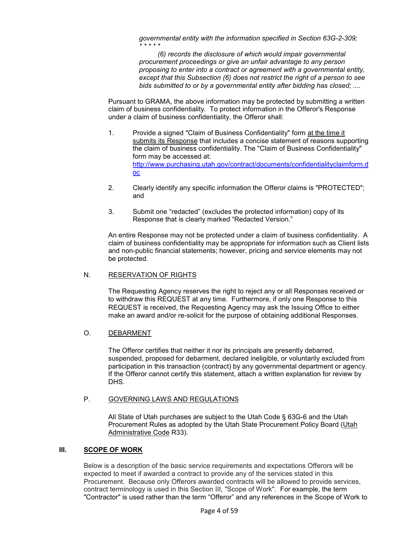*governmental entity with the information specified in Section 63G-2-309; \* \* \* \* \** 

 *(6) records the disclosure of which would impair governmental procurement proceedings or give an unfair advantage to any person proposing to enter into a contract or agreement with a governmental entity, except that this Subsection (6) does not restrict the right of a person to see bids submitted to or by a governmental entity after bidding has closed; ....*

Pursuant to GRAMA, the above information may be protected by submitting a written claim of business confidentiality. To protect information in the Offeror's Response under a claim of business confidentiality, the Offeror shall:

- 1. Provide a signed "Claim of Business Confidentiality" form at the time it submits its Response that includes a concise statement of reasons supporting the claim of business confidentiality. The "Claim of Business Confidentiality" form may be accessed at: http://www.purchasing.utah.gov/contract/documents/confidentialityclaimform.d oc
- 2. Clearly identify any specific information the Offeror claims is "PROTECTED"; and
- 3. Submit one "redacted" (excludes the protected information) copy of its Response that is clearly marked "Redacted Version."

An entire Response may not be protected under a claim of business confidentiality. A claim of business confidentiality may be appropriate for information such as Client lists and non-public financial statements; however, pricing and service elements may not be protected.

#### N. RESERVATION OF RIGHTS

The Requesting Agency reserves the right to reject any or all Responses received or to withdraw this REQUEST at any time. Furthermore, if only one Response to this REQUEST is received, the Requesting Agency may ask the Issuing Office to either make an award and/or re-solicit for the purpose of obtaining additional Responses.

#### O. DEBARMENT

The Offeror certifies that neither it nor its principals are presently debarred, suspended, proposed for debarment, declared ineligible, or voluntarily excluded from participation in this transaction (contract) by any governmental department or agency. If the Offeror cannot certify this statement, attach a written explanation for review by DHS.

#### P. GOVERNING LAWS AND REGULATIONS

All State of Utah purchases are subject to the Utah Code § 63G-6 and the Utah Procurement Rules as adopted by the Utah State Procurement Policy Board (Utah Administrative Code R33).

#### **III. SCOPE OF WORK**

Below is a description of the basic service requirements and expectations Offerors will be expected to meet if awarded a contract to provide any of the services stated in this Procurement. Because only Offerors awarded contracts will be allowed to provide services, contract terminology is used in this Section III, "Scope of Work". For example, the term "Contractor" is used rather than the term "Offeror" and any references in the Scope of Work to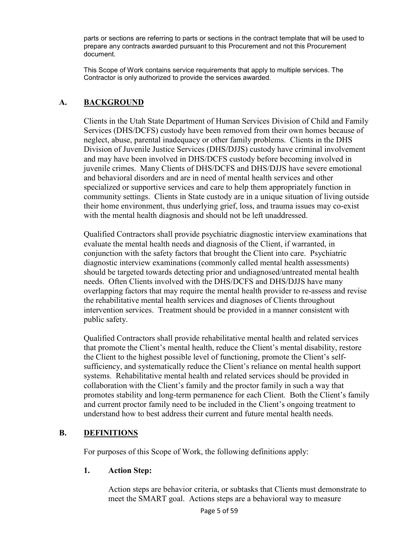parts or sections are referring to parts or sections in the contract template that will be used to prepare any contracts awarded pursuant to this Procurement and not this Procurement document.

 This Scope of Work contains service requirements that apply to multiple services. The Contractor is only authorized to provide the services awarded.

#### **A. BACKGROUND**

Clients in the Utah State Department of Human Services Division of Child and Family Services (DHS/DCFS) custody have been removed from their own homes because of neglect, abuse, parental inadequacy or other family problems. Clients in the DHS Division of Juvenile Justice Services (DHS/DJJS) custody have criminal involvement and may have been involved in DHS/DCFS custody before becoming involved in juvenile crimes. Many Clients of DHS/DCFS and DHS/DJJS have severe emotional and behavioral disorders and are in need of mental health services and other specialized or supportive services and care to help them appropriately function in community settings. Clients in State custody are in a unique situation of living outside their home environment, thus underlying grief, loss, and trauma issues may co-exist with the mental health diagnosis and should not be left unaddressed.

Qualified Contractors shall provide psychiatric diagnostic interview examinations that evaluate the mental health needs and diagnosis of the Client, if warranted, in conjunction with the safety factors that brought the Client into care. Psychiatric diagnostic interview examinations (commonly called mental health assessments) should be targeted towards detecting prior and undiagnosed/untreated mental health needs. Often Clients involved with the DHS/DCFS and DHS/DJJS have many overlapping factors that may require the mental health provider to re-assess and revise the rehabilitative mental health services and diagnoses of Clients throughout intervention services. Treatment should be provided in a manner consistent with public safety.

Qualified Contractors shall provide rehabilitative mental health and related services that promote the Client's mental health, reduce the Client's mental disability, restore the Client to the highest possible level of functioning, promote the Client's selfsufficiency, and systematically reduce the Client's reliance on mental health support systems. Rehabilitative mental health and related services should be provided in collaboration with the Client's family and the proctor family in such a way that promotes stability and long-term permanence for each Client. Both the Client's family and current proctor family need to be included in the Client's ongoing treatment to understand how to best address their current and future mental health needs.

## **B. DEFINITIONS**

For purposes of this Scope of Work, the following definitions apply:

#### **1. Action Step:**

 Action steps are behavior criteria, or subtasks that Clients must demonstrate to meet the SMART goal. Actions steps are a behavioral way to measure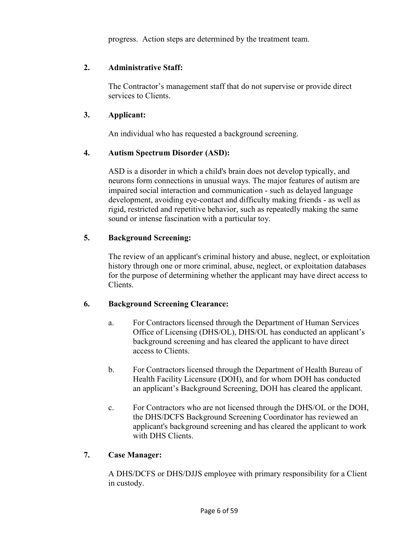progress. Action steps are determined by the treatment team.

#### **2. Administrative Staff:**

 The Contractor's management staff that do not supervise or provide direct services to Clients.

#### **3. Applicant:**

An individual who has requested a background screening.

#### **4. Autism Spectrum Disorder (ASD):**

 ASD is a disorder in which a child's brain does not develop typically, and neurons form connections in unusual ways. The major features of autism are impaired social interaction and communication - such as delayed language development, avoiding eye-contact and difficulty making friends - as well as rigid, restricted and repetitive behavior, such as repeatedly making the same sound or intense fascination with a particular toy.

#### **5. Background Screening:**

The review of an applicant's criminal history and abuse, neglect, or exploitation history through one or more criminal, abuse, neglect, or exploitation databases for the purpose of determining whether the applicant may have direct access to Clients.

## **6. Background Screening Clearance:**

- a. For Contractors licensed through the Department of Human Services Office of Licensing (DHS/OL), DHS/OL has conducted an applicant's background screening and has cleared the applicant to have direct access to Clients.
- b. For Contractors licensed through the Department of Health Bureau of Health Facility Licensure (DOH), and for whom DOH has conducted an applicant's Background Screening, DOH has cleared the applicant.
- c. For Contractors who are not licensed through the DHS/OL or the DOH, the DHS/DCFS Background Screening Coordinator has reviewed an applicant's background screening and has cleared the applicant to work with DHS Clients.

#### **7. Case Manager:**

A DHS/DCFS or DHS/DJJS employee with primary responsibility for a Client in custody.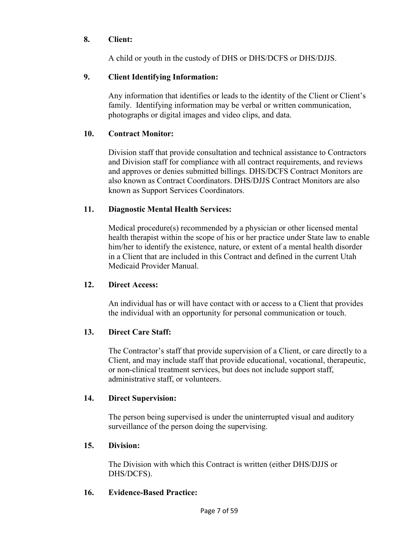#### **8. Client:**

A child or youth in the custody of DHS or DHS/DCFS or DHS/DJJS.

## **9. Client Identifying Information:**

 Any information that identifies or leads to the identity of the Client or Client's family. Identifying information may be verbal or written communication, photographs or digital images and video clips, and data.

#### **10. Contract Monitor:**

 Division staff that provide consultation and technical assistance to Contractors and Division staff for compliance with all contract requirements, and reviews and approves or denies submitted billings. DHS/DCFS Contract Monitors are also known as Contract Coordinators. DHS/DJJS Contract Monitors are also known as Support Services Coordinators.

#### **11. Diagnostic Mental Health Services:**

 Medical procedure(s) recommended by a physician or other licensed mental health therapist within the scope of his or her practice under State law to enable him/her to identify the existence, nature, or extent of a mental health disorder in a Client that are included in this Contract and defined in the current Utah Medicaid Provider Manual.

#### **12. Direct Access:**

 An individual has or will have contact with or access to a Client that provides the individual with an opportunity for personal communication or touch.

#### **13. Direct Care Staff:**

The Contractor's staff that provide supervision of a Client, or care directly to a Client, and may include staff that provide educational, vocational, therapeutic, or non-clinical treatment services, but does not include support staff, administrative staff, or volunteers.

#### **14. Direct Supervision:**

 The person being supervised is under the uninterrupted visual and auditory surveillance of the person doing the supervising.

#### **15. Division:**

The Division with which this Contract is written (either DHS/DJJS or DHS/DCFS).

#### **16. Evidence-Based Practice:**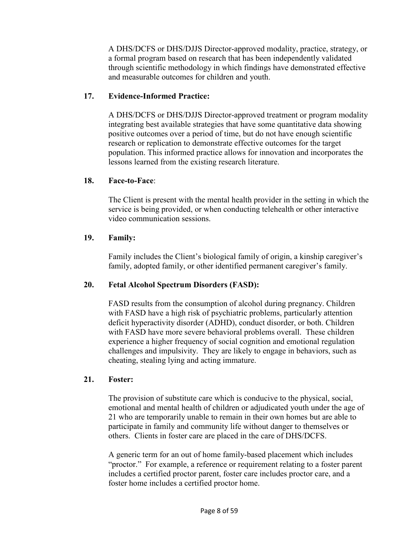A DHS/DCFS or DHS/DJJS Director-approved modality, practice, strategy, or a formal program based on research that has been independently validated through scientific methodology in which findings have demonstrated effective and measurable outcomes for children and youth.

#### **17. Evidence-Informed Practice:**

 A DHS/DCFS or DHS/DJJS Director-approved treatment or program modality integrating best available strategies that have some quantitative data showing positive outcomes over a period of time, but do not have enough scientific research or replication to demonstrate effective outcomes for the target population. This informed practice allows for innovation and incorporates the lessons learned from the existing research literature.

#### **18. Face-to-Face**:

 The Client is present with the mental health provider in the setting in which the service is being provided, or when conducting telehealth or other interactive video communication sessions.

#### **19. Family:**

 Family includes the Client's biological family of origin, a kinship caregiver's family, adopted family, or other identified permanent caregiver's family.

#### **20. Fetal Alcohol Spectrum Disorders (FASD):**

 FASD results from the consumption of alcohol during pregnancy. Children with FASD have a high risk of psychiatric problems, particularly attention deficit hyperactivity disorder (ADHD), conduct disorder, or both. Children with FASD have more severe behavioral problems overall. These children experience a higher frequency of social cognition and emotional regulation challenges and impulsivity. They are likely to engage in behaviors, such as cheating, stealing lying and acting immature.

#### **21. Foster:**

 The provision of substitute care which is conducive to the physical, social, emotional and mental health of children or adjudicated youth under the age of 21 who are temporarily unable to remain in their own homes but are able to participate in family and community life without danger to themselves or others. Clients in foster care are placed in the care of DHS/DCFS.

 A generic term for an out of home family-based placement which includes "proctor." For example, a reference or requirement relating to a foster parent includes a certified proctor parent, foster care includes proctor care, and a foster home includes a certified proctor home.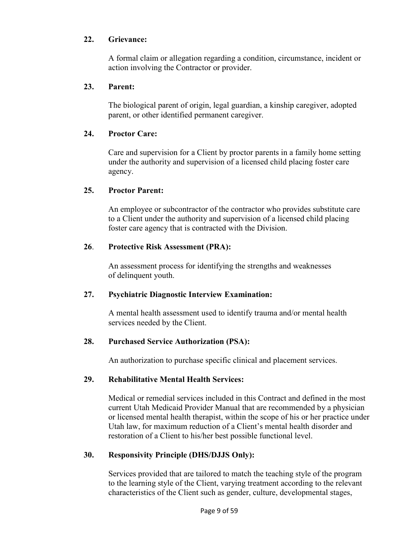#### **22. Grievance:**

A formal claim or allegation regarding a condition, circumstance, incident or action involving the Contractor or provider.

#### **23. Parent:**

 The biological parent of origin, legal guardian, a kinship caregiver, adopted parent, or other identified permanent caregiver.

#### **24. Proctor Care:**

 Care and supervision for a Client by proctor parents in a family home setting under the authority and supervision of a licensed child placing foster care agency.

#### **25. Proctor Parent:**

 An employee or subcontractor of the contractor who provides substitute care to a Client under the authority and supervision of a licensed child placing foster care agency that is contracted with the Division.

#### **26**. **Protective Risk Assessment (PRA):**

An assessment process for identifying the strengths and weaknesses of delinquent youth.

#### **27. Psychiatric Diagnostic Interview Examination:**

A mental health assessment used to identify trauma and/or mental health services needed by the Client.

## **28. Purchased Service Authorization (PSA):**

An authorization to purchase specific clinical and placement services.

#### **29. Rehabilitative Mental Health Services:**

 Medical or remedial services included in this Contract and defined in the most current Utah Medicaid Provider Manual that are recommended by a physician or licensed mental health therapist, within the scope of his or her practice under Utah law, for maximum reduction of a Client's mental health disorder and restoration of a Client to his/her best possible functional level.

## **30. Responsivity Principle (DHS/DJJS Only):**

 Services provided that are tailored to match the teaching style of the program to the learning style of the Client, varying treatment according to the relevant characteristics of the Client such as gender, culture, developmental stages,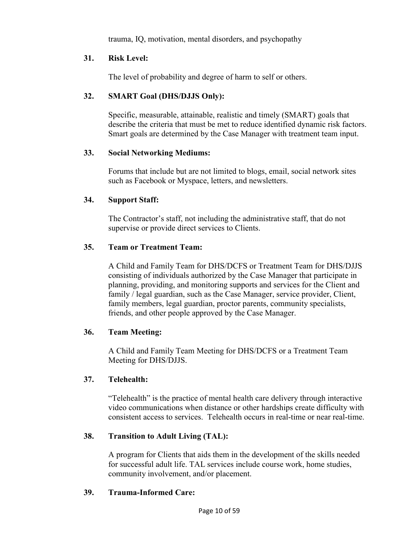trauma, IQ, motivation, mental disorders, and psychopathy

#### **31. Risk Level:**

The level of probability and degree of harm to self or others.

## **32. SMART Goal (DHS/DJJS Only):**

 Specific, measurable, attainable, realistic and timely (SMART) goals that describe the criteria that must be met to reduce identified dynamic risk factors. Smart goals are determined by the Case Manager with treatment team input.

## **33. Social Networking Mediums:**

 Forums that include but are not limited to blogs, email, social network sites such as Facebook or Myspace, letters, and newsletters.

## **34. Support Staff:**

 The Contractor's staff, not including the administrative staff, that do not supervise or provide direct services to Clients.

## **35. Team or Treatment Team:**

 A Child and Family Team for DHS/DCFS or Treatment Team for DHS/DJJS consisting of individuals authorized by the Case Manager that participate in planning, providing, and monitoring supports and services for the Client and family / legal guardian, such as the Case Manager, service provider, Client, family members, legal guardian, proctor parents, community specialists, friends, and other people approved by the Case Manager.

## **36. Team Meeting:**

 A Child and Family Team Meeting for DHS/DCFS or a Treatment Team Meeting for DHS/DJJS.

## **37. Telehealth:**

 "Telehealth" is the practice of mental health care delivery through interactive video communications when distance or other hardships create difficulty with consistent access to services. Telehealth occurs in real-time or near real-time.

## **38. Transition to Adult Living (TAL):**

 A program for Clients that aids them in the development of the skills needed for successful adult life. TAL services include course work, home studies, community involvement, and/or placement.

#### **39. Trauma-Informed Care:**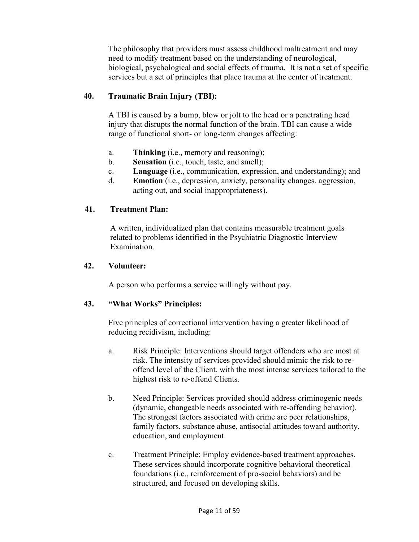The philosophy that providers must assess childhood maltreatment and may need to modify treatment based on the understanding of neurological, biological, psychological and social effects of trauma. It is not a set of specific services but a set of principles that place trauma at the center of treatment.

#### **40. Traumatic Brain Injury (TBI):**

 A TBI is caused by a bump, blow or jolt to the head or a penetrating head injury that disrupts the normal function of the brain. TBI can cause a wide range of functional short- or long-term changes affecting:

- a. **Thinking** (i.e., memory and reasoning);
- b. **Sensation** (i.e., touch, taste, and smell);
- c. **Language** (i.e., communication, expression, and understanding); and
- d. **Emotion** (i.e., depression, anxiety, personality changes, aggression, acting out, and social inappropriateness).

#### **41. Treatment Plan:**

A written, individualized plan that contains measurable treatment goals related to problems identified in the Psychiatric Diagnostic Interview Examination.

#### **42. Volunteer:**

A person who performs a service willingly without pay.

#### **43. "What Works" Principles:**

Five principles of correctional intervention having a greater likelihood of reducing recidivism, including:

- a. Risk Principle: Interventions should target offenders who are most at risk. The intensity of services provided should mimic the risk to reoffend level of the Client, with the most intense services tailored to the highest risk to re-offend Clients.
- b. Need Principle: Services provided should address criminogenic needs (dynamic, changeable needs associated with re-offending behavior). The strongest factors associated with crime are peer relationships, family factors, substance abuse, antisocial attitudes toward authority, education, and employment.
- c. Treatment Principle: Employ evidence-based treatment approaches. These services should incorporate cognitive behavioral theoretical foundations (i.e., reinforcement of pro-social behaviors) and be structured, and focused on developing skills.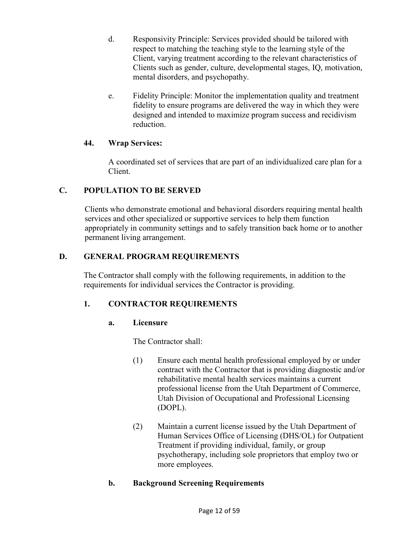- d. Responsivity Principle: Services provided should be tailored with respect to matching the teaching style to the learning style of the Client, varying treatment according to the relevant characteristics of Clients such as gender, culture, developmental stages, IQ, motivation, mental disorders, and psychopathy.
- e. Fidelity Principle: Monitor the implementation quality and treatment fidelity to ensure programs are delivered the way in which they were designed and intended to maximize program success and recidivism reduction.

#### **44. Wrap Services:**

A coordinated set of services that are part of an individualized care plan for a Client.

## **C. POPULATION TO BE SERVED**

Clients who demonstrate emotional and behavioral disorders requiring mental health services and other specialized or supportive services to help them function appropriately in community settings and to safely transition back home or to another permanent living arrangement.

## **D. GENERAL PROGRAM REQUIREMENTS**

 The Contractor shall comply with the following requirements, in addition to the requirements for individual services the Contractor is providing.

## **1. CONTRACTOR REQUIREMENTS**

## **a. Licensure**

The Contractor shall:

- (1) Ensure each mental health professional employed by or under contract with the Contractor that is providing diagnostic and/or rehabilitative mental health services maintains a current professional license from the Utah Department of Commerce, Utah Division of Occupational and Professional Licensing (DOPL).
- (2) Maintain a current license issued by the Utah Department of Human Services Office of Licensing (DHS/OL) for Outpatient Treatment if providing individual, family, or group psychotherapy, including sole proprietors that employ two or more employees.

## **b. Background Screening Requirements**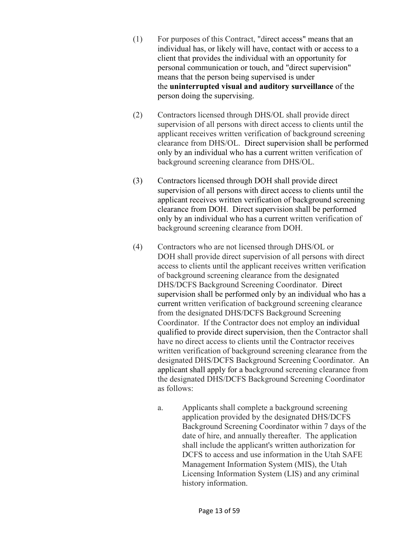- (1) For purposes of this Contract, "direct access" means that an individual has, or likely will have, contact with or access to a client that provides the individual with an opportunity for personal communication or touch, and "direct supervision" means that the person being supervised is under the **uninterrupted visual and auditory surveillance** of the person doing the supervising.
- (2) Contractors licensed through DHS/OL shall provide direct supervision of all persons with direct access to clients until the applicant receives written verification of background screening clearance from DHS/OL. Direct supervision shall be performed only by an individual who has a current written verification of background screening clearance from DHS/OL.
- (3) Contractors licensed through DOH shall provide direct supervision of all persons with direct access to clients until the applicant receives written verification of background screening clearance from DOH. Direct supervision shall be performed only by an individual who has a current written verification of background screening clearance from DOH.
- (4) Contractors who are not licensed through DHS/OL or DOH shall provide direct supervision of all persons with direct access to clients until the applicant receives written verification of background screening clearance from the designated DHS/DCFS Background Screening Coordinator. Direct supervision shall be performed only by an individual who has a current written verification of background screening clearance from the designated DHS/DCFS Background Screening Coordinator. If the Contractor does not employ an individual qualified to provide direct supervision, then the Contractor shall have no direct access to clients until the Contractor receives written verification of background screening clearance from the designated DHS/DCFS Background Screening Coordinator. An applicant shall apply for a background screening clearance from the designated DHS/DCFS Background Screening Coordinator as follows:
	- a. Applicants shall complete a background screening application provided by the designated DHS/DCFS Background Screening Coordinator within 7 days of the date of hire, and annually thereafter. The application shall include the applicant's written authorization for DCFS to access and use information in the Utah SAFE Management Information System (MIS), the Utah Licensing Information System (LIS) and any criminal history information.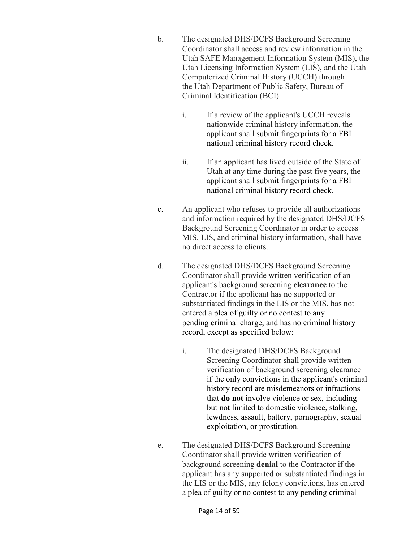- b. The designated DHS/DCFS Background Screening Coordinator shall access and review information in the Utah SAFE Management Information System (MIS), the Utah Licensing Information System (LIS), and the Utah Computerized Criminal History (UCCH) through the Utah Department of Public Safety, Bureau of Criminal Identification (BCI).
	- i. If a review of the applicant's UCCH reveals nationwide criminal history information, the applicant shall submit fingerprints for a FBI national criminal history record check.
	- ii. If an applicant has lived outside of the State of Utah at any time during the past five years, the applicant shall submit fingerprints for a FBI national criminal history record check.
- c. An applicant who refuses to provide all authorizations and information required by the designated DHS/DCFS Background Screening Coordinator in order to access MIS, LIS, and criminal history information, shall have no direct access to clients.
- d. The designated DHS/DCFS Background Screening Coordinator shall provide written verification of an applicant's background screening **clearance** to the Contractor if the applicant has no supported or substantiated findings in the LIS or the MIS, has not entered a plea of guilty or no contest to any pending criminal charge, and has no criminal history record, except as specified below:
	- i. The designated DHS/DCFS Background Screening Coordinator shall provide written verification of background screening clearance if the only convictions in the applicant's criminal history record are misdemeanors or infractions that **do not** involve violence or sex, including but not limited to domestic violence, stalking, lewdness, assault, battery, pornography, sexual exploitation, or prostitution.
- e. The designated DHS/DCFS Background Screening Coordinator shall provide written verification of background screening **denial** to the Contractor if the applicant has any supported or substantiated findings in the LIS or the MIS, any felony convictions, has entered a plea of guilty or no contest to any pending criminal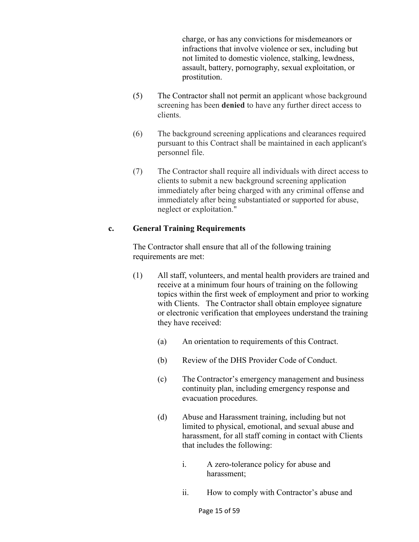charge, or has any convictions for misdemeanors or infractions that involve violence or sex, including but not limited to domestic violence, stalking, lewdness, assault, battery, pornography, sexual exploitation, or prostitution.

- (5) The Contractor shall not permit an applicant whose background screening has been **denied** to have any further direct access to clients.
- (6) The background screening applications and clearances required pursuant to this Contract shall be maintained in each applicant's personnel file.
- (7) The Contractor shall require all individuals with direct access to clients to submit a new background screening application immediately after being charged with any criminal offense and immediately after being substantiated or supported for abuse, neglect or exploitation."

#### **c. General Training Requirements**

The Contractor shall ensure that all of the following training requirements are met:

- (1) All staff, volunteers, and mental health providers are trained and receive at a minimum four hours of training on the following topics within the first week of employment and prior to working with Clients. The Contractor shall obtain employee signature or electronic verification that employees understand the training they have received:
	- (a) An orientation to requirements of this Contract.
	- (b) Review of the DHS Provider Code of Conduct.
	- (c) The Contractor's emergency management and business continuity plan, including emergency response and evacuation procedures.
	- (d) Abuse and Harassment training, including but not limited to physical, emotional, and sexual abuse and harassment, for all staff coming in contact with Clients that includes the following:
		- i. A zero-tolerance policy for abuse and harassment;
		- ii. How to comply with Contractor's abuse and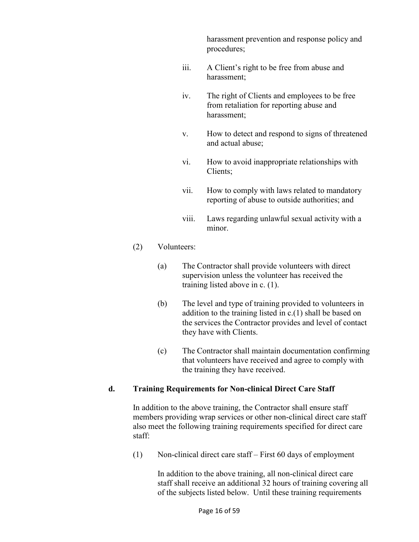harassment prevention and response policy and procedures;

- iii. A Client's right to be free from abuse and harassment;
- iv. The right of Clients and employees to be free from retaliation for reporting abuse and harassment;
- v. How to detect and respond to signs of threatened and actual abuse;
- vi. How to avoid inappropriate relationships with Clients;
- vii. How to comply with laws related to mandatory reporting of abuse to outside authorities; and
- viii. Laws regarding unlawful sexual activity with a minor.

#### (2) Volunteers:

- (a) The Contractor shall provide volunteers with direct supervision unless the volunteer has received the training listed above in c. (1).
- (b) The level and type of training provided to volunteers in addition to the training listed in c.(1) shall be based on the services the Contractor provides and level of contact they have with Clients.
- (c) The Contractor shall maintain documentation confirming that volunteers have received and agree to comply with the training they have received.

#### **d. Training Requirements for Non-clinical Direct Care Staff**

In addition to the above training, the Contractor shall ensure staff members providing wrap services or other non-clinical direct care staff also meet the following training requirements specified for direct care staff:

(1) Non-clinical direct care staff – First 60 days of employment

In addition to the above training, all non-clinical direct care staff shall receive an additional 32 hours of training covering all of the subjects listed below. Until these training requirements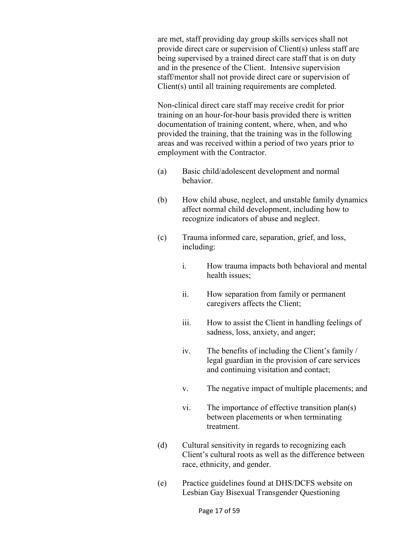are met, staff providing day group skills services shall not provide direct care or supervision of Client(s) unless staff are being supervised by a trained direct care staff that is on duty and in the presence of the Client. Intensive supervision staff/mentor shall not provide direct care or supervision of Client(s) until all training requirements are completed.

Non-clinical direct care staff may receive credit for prior training on an hour-for-hour basis provided there is written documentation of training content, where, when, and who provided the training, that the training was in the following areas and was received within a period of two years prior to employment with the Contractor.

- (a) Basic child/adolescent development and normal behavior.
- (b) How child abuse, neglect, and unstable family dynamics affect normal child development, including how to recognize indicators of abuse and neglect.
- (c) Trauma informed care, separation, grief, and loss, including:
	- i. How trauma impacts both behavioral and mental health issues;
	- ii. How separation from family or permanent caregivers affects the Client;
	- iii. How to assist the Client in handling feelings of sadness, loss, anxiety, and anger;
	- iv. The benefits of including the Client's family / legal guardian in the provision of care services and continuing visitation and contact;
	- v. The negative impact of multiple placements; and
	- vi. The importance of effective transition plan(s) between placements or when terminating treatment.
- (d) Cultural sensitivity in regards to recognizing each Client's cultural roots as well as the difference between race, ethnicity, and gender.
- (e) Practice guidelines found at DHS/DCFS website on Lesbian Gay Bisexual Transgender Questioning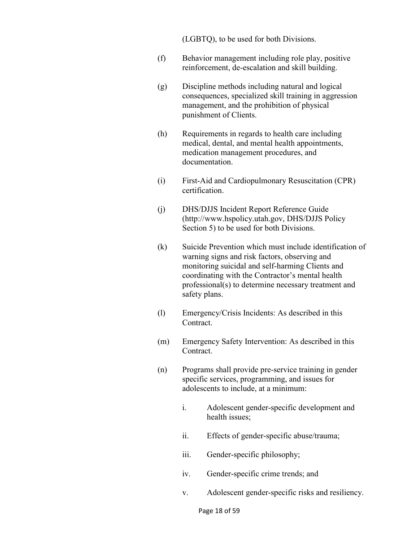(LGBTQ), to be used for both Divisions.

- (f) Behavior management including role play, positive reinforcement, de-escalation and skill building.
- (g) Discipline methods including natural and logical consequences, specialized skill training in aggression management, and the prohibition of physical punishment of Clients.
- (h) Requirements in regards to health care including medical, dental, and mental health appointments, medication management procedures, and documentation.
- (i) First-Aid and Cardiopulmonary Resuscitation (CPR) certification.
- (j) DHS/DJJS Incident Report Reference Guide (http://www.hspolicy.utah.gov, DHS/DJJS Policy Section 5) to be used for both Divisions.
- (k) Suicide Prevention which must include identification of warning signs and risk factors, observing and monitoring suicidal and self-harming Clients and coordinating with the Contractor's mental health professional(s) to determine necessary treatment and safety plans.
- (l) Emergency/Crisis Incidents: As described in this Contract.
- (m) Emergency Safety Intervention: As described in this Contract.
- (n) Programs shall provide pre-service training in gender specific services, programming, and issues for adolescents to include, at a minimum:
	- i. Adolescent gender-specific development and health issues;
	- ii. Effects of gender-specific abuse/trauma;
	- iii. Gender-specific philosophy;
	- iv. Gender-specific crime trends; and
	- v. Adolescent gender-specific risks and resiliency.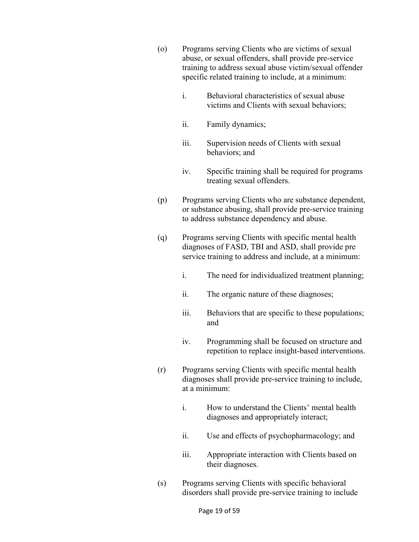- (o) Programs serving Clients who are victims of sexual abuse, or sexual offenders, shall provide pre-service training to address sexual abuse victim/sexual offender specific related training to include, at a minimum:
	- i. Behavioral characteristics of sexual abuse victims and Clients with sexual behaviors;
	- ii. Family dynamics;
	- iii. Supervision needs of Clients with sexual behaviors; and
	- iv. Specific training shall be required for programs treating sexual offenders.
- (p) Programs serving Clients who are substance dependent, or substance abusing, shall provide pre-service training to address substance dependency and abuse.
- (q) Programs serving Clients with specific mental health diagnoses of FASD, TBI and ASD, shall provide pre service training to address and include, at a minimum:
	- i. The need for individualized treatment planning;
	- ii. The organic nature of these diagnoses;
	- iii. Behaviors that are specific to these populations; and
	- iv. Programming shall be focused on structure and repetition to replace insight-based interventions.
- (r) Programs serving Clients with specific mental health diagnoses shall provide pre-service training to include, at a minimum:
	- i. How to understand the Clients' mental health diagnoses and appropriately interact;
	- ii. Use and effects of psychopharmacology; and
	- iii. Appropriate interaction with Clients based on their diagnoses.
- (s) Programs serving Clients with specific behavioral disorders shall provide pre-service training to include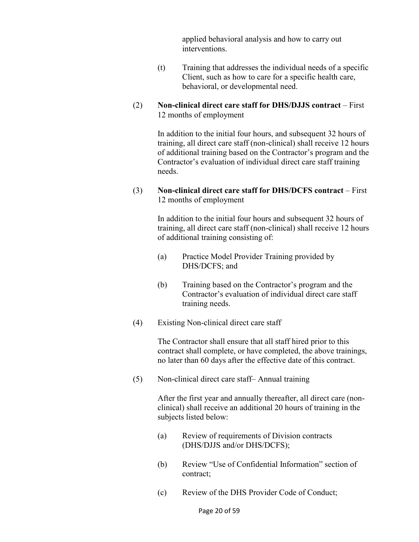applied behavioral analysis and how to carry out interventions.

- (t) Training that addresses the individual needs of a specific Client, such as how to care for a specific health care, behavioral, or developmental need.
- (2) **Non-clinical direct care staff for DHS/DJJS contract** First 12 months of employment

 In addition to the initial four hours, and subsequent 32 hours of training, all direct care staff (non-clinical) shall receive 12 hours of additional training based on the Contractor's program and the Contractor's evaluation of individual direct care staff training needs.

(3) **Non-clinical direct care staff for DHS/DCFS contract** – First 12 months of employment

> In addition to the initial four hours and subsequent 32 hours of training, all direct care staff (non-clinical) shall receive 12 hours of additional training consisting of:

- (a) Practice Model Provider Training provided by DHS/DCFS; and
- (b) Training based on the Contractor's program and the Contractor's evaluation of individual direct care staff training needs.
- (4) Existing Non-clinical direct care staff

 The Contractor shall ensure that all staff hired prior to this contract shall complete, or have completed, the above trainings, no later than 60 days after the effective date of this contract.

(5) Non-clinical direct care staff– Annual training

 After the first year and annually thereafter, all direct care (nonclinical) shall receive an additional 20 hours of training in the subjects listed below:

- (a) Review of requirements of Division contracts (DHS/DJJS and/or DHS/DCFS);
- (b) Review "Use of Confidential Information" section of contract;
- (c) Review of the DHS Provider Code of Conduct;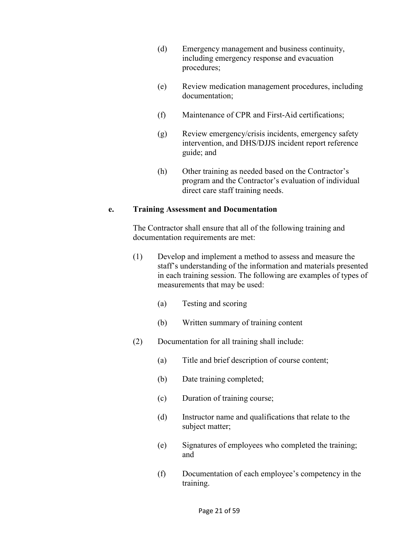- (d) Emergency management and business continuity, including emergency response and evacuation procedures;
- (e) Review medication management procedures, including documentation;
- (f) Maintenance of CPR and First-Aid certifications;
- (g) Review emergency/crisis incidents, emergency safety intervention, and DHS/DJJS incident report reference guide; and
- (h) Other training as needed based on the Contractor's program and the Contractor's evaluation of individual direct care staff training needs.

#### **e. Training Assessment and Documentation**

The Contractor shall ensure that all of the following training and documentation requirements are met:

- (1) Develop and implement a method to assess and measure the staff's understanding of the information and materials presented in each training session. The following are examples of types of measurements that may be used:
	- (a) Testing and scoring
	- (b) Written summary of training content
- (2) Documentation for all training shall include:
	- (a) Title and brief description of course content;
	- (b) Date training completed;
	- (c) Duration of training course;
	- (d) Instructor name and qualifications that relate to the subject matter;
	- (e) Signatures of employees who completed the training; and
	- (f) Documentation of each employee's competency in the training.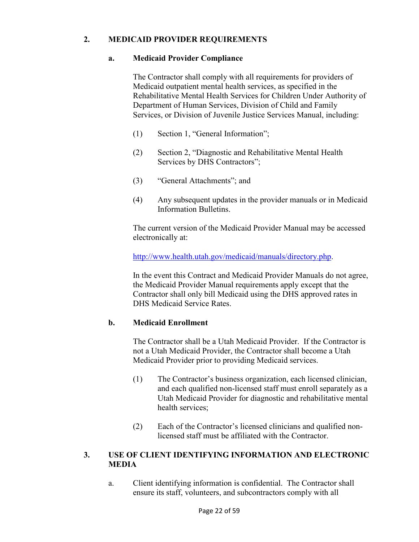#### **2. MEDICAID PROVIDER REQUIREMENTS**

#### **a. Medicaid Provider Compliance**

The Contractor shall comply with all requirements for providers of Medicaid outpatient mental health services, as specified in the Rehabilitative Mental Health Services for Children Under Authority of Department of Human Services, Division of Child and Family Services, or Division of Juvenile Justice Services Manual, including:

- (1) Section 1, "General Information";
- (2) Section 2, "Diagnostic and Rehabilitative Mental Health Services by DHS Contractors";
- (3) "General Attachments"; and
- (4) Any subsequent updates in the provider manuals or in Medicaid Information Bulletins.

The current version of the Medicaid Provider Manual may be accessed electronically at:

http://www.health.utah.gov/medicaid/manuals/directory.php.

In the event this Contract and Medicaid Provider Manuals do not agree, the Medicaid Provider Manual requirements apply except that the Contractor shall only bill Medicaid using the DHS approved rates in DHS Medicaid Service Rates.

#### **b. Medicaid Enrollment**

The Contractor shall be a Utah Medicaid Provider. If the Contractor is not a Utah Medicaid Provider, the Contractor shall become a Utah Medicaid Provider prior to providing Medicaid services.

- (1) The Contractor's business organization, each licensed clinician, and each qualified non-licensed staff must enroll separately as a Utah Medicaid Provider for diagnostic and rehabilitative mental health services;
- (2) Each of the Contractor's licensed clinicians and qualified nonlicensed staff must be affiliated with the Contractor.

#### **3. USE OF CLIENT IDENTIFYING INFORMATION AND ELECTRONIC MEDIA**

a. Client identifying information is confidential. The Contractor shall ensure its staff, volunteers, and subcontractors comply with all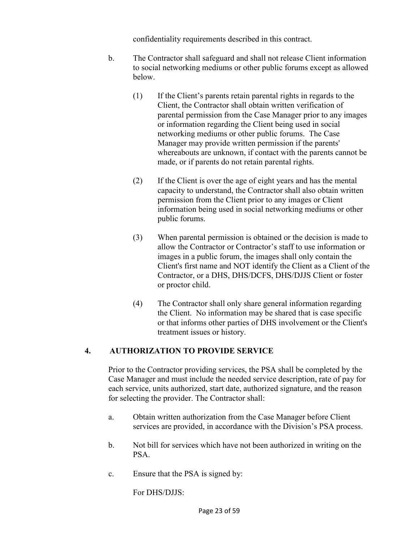confidentiality requirements described in this contract.

- b. The Contractor shall safeguard and shall not release Client information to social networking mediums or other public forums except as allowed below.
	- (1) If the Client's parents retain parental rights in regards to the Client, the Contractor shall obtain written verification of parental permission from the Case Manager prior to any images or information regarding the Client being used in social networking mediums or other public forums. The Case Manager may provide written permission if the parents' whereabouts are unknown, if contact with the parents cannot be made, or if parents do not retain parental rights.
	- (2) If the Client is over the age of eight years and has the mental capacity to understand, the Contractor shall also obtain written permission from the Client prior to any images or Client information being used in social networking mediums or other public forums.
	- (3) When parental permission is obtained or the decision is made to allow the Contractor or Contractor's staff to use information or images in a public forum, the images shall only contain the Client's first name and NOT identify the Client as a Client of the Contractor, or a DHS, DHS/DCFS, DHS/DJJS Client or foster or proctor child.
	- (4) The Contractor shall only share general information regarding the Client. No information may be shared that is case specific or that informs other parties of DHS involvement or the Client's treatment issues or history.

## **4. AUTHORIZATION TO PROVIDE SERVICE**

 Prior to the Contractor providing services, the PSA shall be completed by the Case Manager and must include the needed service description, rate of pay for each service, units authorized, start date, authorized signature, and the reason for selecting the provider. The Contractor shall:

- a. Obtain written authorization from the Case Manager before Client services are provided, in accordance with the Division's PSA process.
- b. Not bill for services which have not been authorized in writing on the PSA.
- c. Ensure that the PSA is signed by:

For DHS/DJJS: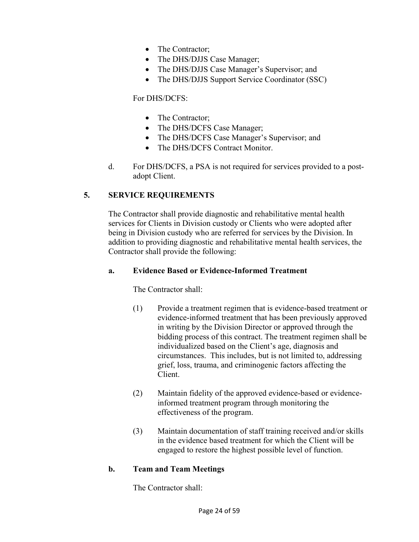- The Contractor;
- The DHS/DJJS Case Manager;
- The DHS/DJJS Case Manager's Supervisor; and
- The DHS/DJJS Support Service Coordinator (SSC)

#### For DHS/DCFS:

- The Contractor;
- The DHS/DCFS Case Manager;
- The DHS/DCFS Case Manager's Supervisor; and
- The DHS/DCFS Contract Monitor.
- d. For DHS/DCFS, a PSA is not required for services provided to a postadopt Client.

#### **5. SERVICE REQUIREMENTS**

 The Contractor shall provide diagnostic and rehabilitative mental health services for Clients in Division custody or Clients who were adopted after being in Division custody who are referred for services by the Division. In addition to providing diagnostic and rehabilitative mental health services, the Contractor shall provide the following:

#### **a. Evidence Based or Evidence-Informed Treatment**

The Contractor shall:

- (1) Provide a treatment regimen that is evidence-based treatment or evidence-informed treatment that has been previously approved in writing by the Division Director or approved through the bidding process of this contract. The treatment regimen shall be individualized based on the Client's age, diagnosis and circumstances. This includes, but is not limited to, addressing grief, loss, trauma, and criminogenic factors affecting the Client.
- (2) Maintain fidelity of the approved evidence-based or evidenceinformed treatment program through monitoring the effectiveness of the program.
- (3) Maintain documentation of staff training received and/or skills in the evidence based treatment for which the Client will be engaged to restore the highest possible level of function.

#### **b. Team and Team Meetings**

The Contractor shall: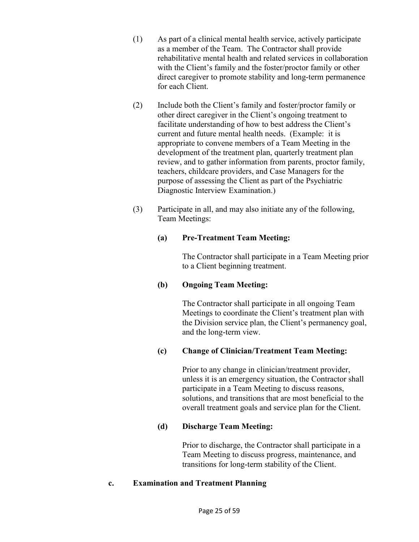- (1) As part of a clinical mental health service, actively participate as a member of the Team. The Contractor shall provide rehabilitative mental health and related services in collaboration with the Client's family and the foster/proctor family or other direct caregiver to promote stability and long-term permanence for each Client.
- (2) Include both the Client's family and foster/proctor family or other direct caregiver in the Client's ongoing treatment to facilitate understanding of how to best address the Client's current and future mental health needs. (Example: it is appropriate to convene members of a Team Meeting in the development of the treatment plan, quarterly treatment plan review, and to gather information from parents, proctor family, teachers, childcare providers, and Case Managers for the purpose of assessing the Client as part of the Psychiatric Diagnostic Interview Examination.)
- (3) Participate in all, and may also initiate any of the following, Team Meetings:

## **(a) Pre-Treatment Team Meeting:**

The Contractor shall participate in a Team Meeting prior to a Client beginning treatment.

## **(b) Ongoing Team Meeting:**

The Contractor shall participate in all ongoing Team Meetings to coordinate the Client's treatment plan with the Division service plan, the Client's permanency goal, and the long-term view.

## **(c) Change of Clinician/Treatment Team Meeting:**

Prior to any change in clinician/treatment provider, unless it is an emergency situation, the Contractor shall participate in a Team Meeting to discuss reasons, solutions, and transitions that are most beneficial to the overall treatment goals and service plan for the Client.

## **(d) Discharge Team Meeting:**

Prior to discharge, the Contractor shall participate in a Team Meeting to discuss progress, maintenance, and transitions for long-term stability of the Client.

## **c. Examination and Treatment Planning**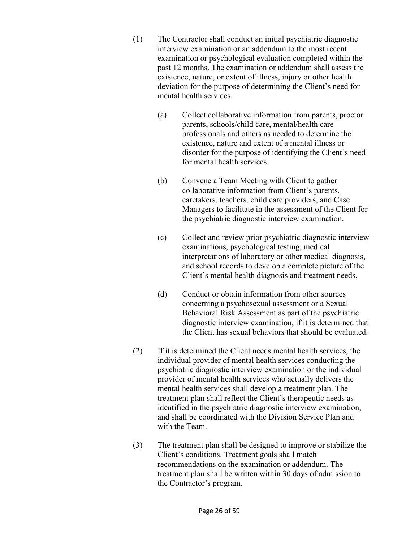- (1) The Contractor shall conduct an initial psychiatric diagnostic interview examination or an addendum to the most recent examination or psychological evaluation completed within the past 12 months. The examination or addendum shall assess the existence, nature, or extent of illness, injury or other health deviation for the purpose of determining the Client's need for mental health services*.* 
	- (a) Collect collaborative information from parents, proctor parents, schools/child care, mental/health care professionals and others as needed to determine the existence, nature and extent of a mental illness or disorder for the purpose of identifying the Client's need for mental health services.
	- (b) Convene a Team Meeting with Client to gather collaborative information from Client's parents, caretakers, teachers, child care providers, and Case Managers to facilitate in the assessment of the Client for the psychiatric diagnostic interview examination.
	- (c) Collect and review prior psychiatric diagnostic interview examinations, psychological testing, medical interpretations of laboratory or other medical diagnosis, and school records to develop a complete picture of the Client's mental health diagnosis and treatment needs.
	- (d) Conduct or obtain information from other sources concerning a psychosexual assessment or a Sexual Behavioral Risk Assessment as part of the psychiatric diagnostic interview examination, if it is determined that the Client has sexual behaviors that should be evaluated.
- (2) If it is determined the Client needs mental health services, the individual provider of mental health services conducting the psychiatric diagnostic interview examination or the individual provider of mental health services who actually delivers the mental health services shall develop a treatment plan. The treatment plan shall reflect the Client's therapeutic needs as identified in the psychiatric diagnostic interview examination, and shall be coordinated with the Division Service Plan and with the Team.
- (3) The treatment plan shall be designed to improve or stabilize the Client's conditions. Treatment goals shall match recommendations on the examination or addendum. The treatment plan shall be written within 30 days of admission to the Contractor's program.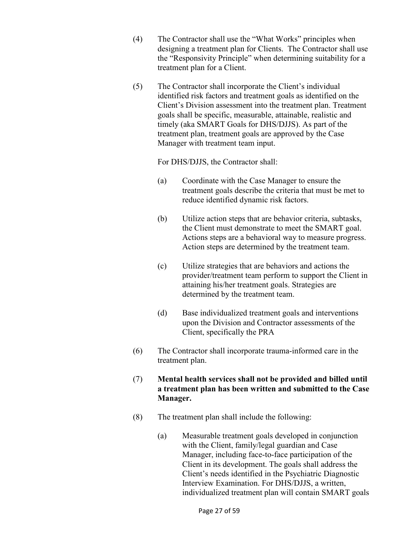- (4) The Contractor shall use the "What Works" principles when designing a treatment plan for Clients. The Contractor shall use the "Responsivity Principle" when determining suitability for a treatment plan for a Client.
- (5) The Contractor shall incorporate the Client's individual identified risk factors and treatment goals as identified on the Client's Division assessment into the treatment plan. Treatment goals shall be specific, measurable, attainable, realistic and timely (aka SMART Goals for DHS/DJJS). As part of the treatment plan, treatment goals are approved by the Case Manager with treatment team input.

For DHS/DJJS, the Contractor shall:

- (a) Coordinate with the Case Manager to ensure the treatment goals describe the criteria that must be met to reduce identified dynamic risk factors.
- (b) Utilize action steps that are behavior criteria, subtasks, the Client must demonstrate to meet the SMART goal. Actions steps are a behavioral way to measure progress. Action steps are determined by the treatment team.
- (c) Utilize strategies that are behaviors and actions the provider/treatment team perform to support the Client in attaining his/her treatment goals. Strategies are determined by the treatment team.
- (d) Base individualized treatment goals and interventions upon the Division and Contractor assessments of the Client, specifically the PRA
- (6) The Contractor shall incorporate trauma-informed care in the treatment plan.
- (7) **Mental health services shall not be provided and billed until a treatment plan has been written and submitted to the Case Manager.**
- (8) The treatment plan shall include the following:
	- (a) Measurable treatment goals developed in conjunction with the Client, family/legal guardian and Case Manager, including face-to-face participation of the Client in its development. The goals shall address the Client's needs identified in the Psychiatric Diagnostic Interview Examination. For DHS/DJJS, a written, individualized treatment plan will contain SMART goals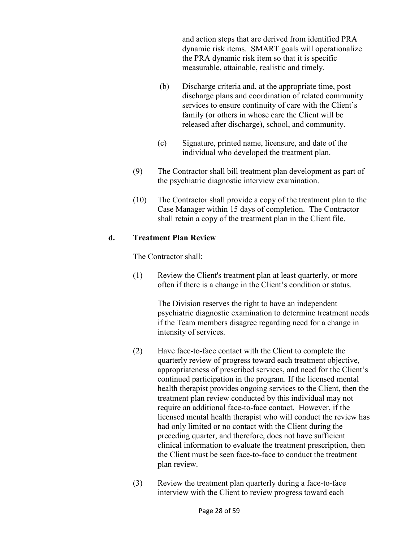and action steps that are derived from identified PRA dynamic risk items. SMART goals will operationalize the PRA dynamic risk item so that it is specific measurable, attainable, realistic and timely.

- (b) Discharge criteria and, at the appropriate time, post discharge plans and coordination of related community services to ensure continuity of care with the Client's family (or others in whose care the Client will be released after discharge), school, and community.
- (c) Signature, printed name, licensure, and date of the individual who developed the treatment plan.
- (9) The Contractor shall bill treatment plan development as part of the psychiatric diagnostic interview examination.
- (10) The Contractor shall provide a copy of the treatment plan to the Case Manager within 15 days of completion. The Contractor shall retain a copy of the treatment plan in the Client file.

#### **d. Treatment Plan Review**

The Contractor shall:

(1) Review the Client's treatment plan at least quarterly, or more often if there is a change in the Client's condition or status.

> The Division reserves the right to have an independent psychiatric diagnostic examination to determine treatment needs if the Team members disagree regarding need for a change in intensity of services.

- (2) Have face-to-face contact with the Client to complete the quarterly review of progress toward each treatment objective, appropriateness of prescribed services, and need for the Client's continued participation in the program. If the licensed mental health therapist provides ongoing services to the Client, then the treatment plan review conducted by this individual may not require an additional face-to-face contact. However, if the licensed mental health therapist who will conduct the review has had only limited or no contact with the Client during the preceding quarter, and therefore, does not have sufficient clinical information to evaluate the treatment prescription, then the Client must be seen face-to-face to conduct the treatment plan review.
- (3) Review the treatment plan quarterly during a face-to-face interview with the Client to review progress toward each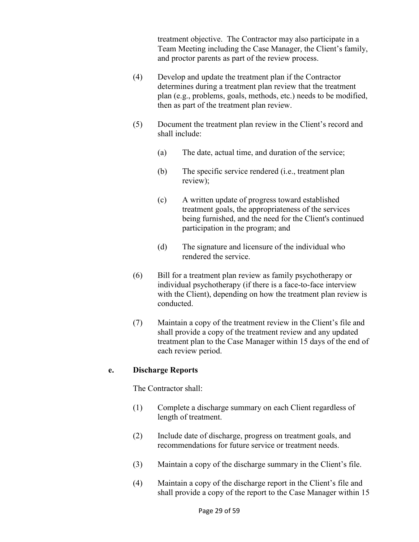treatment objective. The Contractor may also participate in a Team Meeting including the Case Manager, the Client's family, and proctor parents as part of the review process.

- (4) Develop and update the treatment plan if the Contractor determines during a treatment plan review that the treatment plan (e.g., problems, goals, methods, etc.) needs to be modified, then as part of the treatment plan review.
- (5) Document the treatment plan review in the Client's record and shall include:
	- (a) The date, actual time, and duration of the service;
	- (b) The specific service rendered (i.e., treatment plan review);
	- (c) A written update of progress toward established treatment goals, the appropriateness of the services being furnished, and the need for the Client's continued participation in the program; and
	- (d) The signature and licensure of the individual who rendered the service.
- (6) Bill for a treatment plan review as family psychotherapy or individual psychotherapy (if there is a face-to-face interview with the Client), depending on how the treatment plan review is conducted.
- (7) Maintain a copy of the treatment review in the Client's file and shall provide a copy of the treatment review and any updated treatment plan to the Case Manager within 15 days of the end of each review period.

#### **e. Discharge Reports**

The Contractor shall:

- (1) Complete a discharge summary on each Client regardless of length of treatment.
- (2) Include date of discharge, progress on treatment goals, and recommendations for future service or treatment needs.
- (3) Maintain a copy of the discharge summary in the Client's file.
- (4) Maintain a copy of the discharge report in the Client's file and shall provide a copy of the report to the Case Manager within 15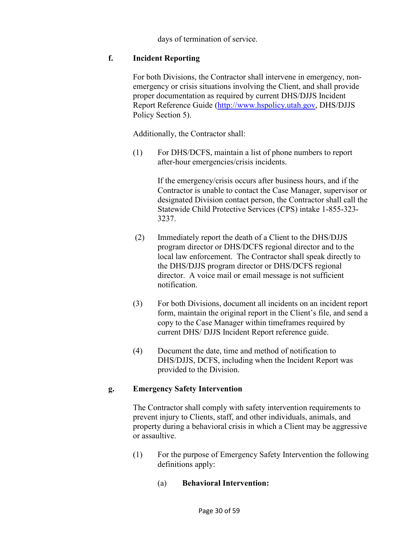days of termination of service.

#### **f. Incident Reporting**

 For both Divisions, the Contractor shall intervene in emergency, nonemergency or crisis situations involving the Client, and shall provide proper documentation as required by current DHS/DJJS Incident Report Reference Guide (http://www.hspolicy.utah.gov, DHS/DJJS Policy Section 5).

Additionally, the Contractor shall:

(1) For DHS/DCFS, maintain a list of phone numbers to report after-hour emergencies/crisis incidents.

> If the emergency/crisis occurs after business hours, and if the Contractor is unable to contact the Case Manager, supervisor or designated Division contact person, the Contractor shall call the Statewide Child Protective Services (CPS) intake 1-855-323- 3237.

- (2) Immediately report the death of a Client to the DHS/DJJS program director or DHS/DCFS regional director and to the local law enforcement. The Contractor shall speak directly to the DHS/DJJS program director or DHS/DCFS regional director. A voice mail or email message is not sufficient notification.
- (3) For both Divisions, document all incidents on an incident report form, maintain the original report in the Client's file, and send a copy to the Case Manager within timeframes required by current DHS/ DJJS Incident Report reference guide.
- (4) Document the date, time and method of notification to DHS/DJJS, DCFS, including when the Incident Report was provided to the Division.

#### **g. Emergency Safety Intervention**

 The Contractor shall comply with safety intervention requirements to prevent injury to Clients, staff, and other individuals, animals, and property during a behavioral crisis in which a Client may be aggressive or assaultive.

- (1) For the purpose of Emergency Safety Intervention the following definitions apply:
	- (a) **Behavioral Intervention:**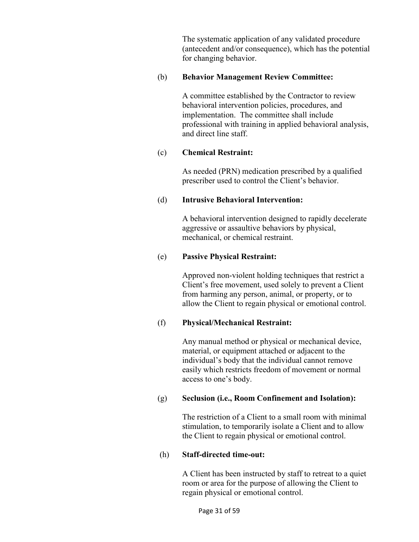The systematic application of any validated procedure (antecedent and/or consequence), which has the potential for changing behavior.

#### (b) **Behavior Management Review Committee:**

 A committee established by the Contractor to review behavioral intervention policies, procedures, and implementation. The committee shall include professional with training in applied behavioral analysis, and direct line staff.

#### (c) **Chemical Restraint:**

 As needed (PRN) medication prescribed by a qualified prescriber used to control the Client's behavior.

#### (d) **Intrusive Behavioral Intervention:**

 A behavioral intervention designed to rapidly decelerate aggressive or assaultive behaviors by physical, mechanical, or chemical restraint.

#### (e) **Passive Physical Restraint:**

 Approved non-violent holding techniques that restrict a Client's free movement, used solely to prevent a Client from harming any person, animal, or property, or to allow the Client to regain physical or emotional control.

## (f) **Physical/Mechanical Restraint:**

 Any manual method or physical or mechanical device, material, or equipment attached or adjacent to the individual's body that the individual cannot remove easily which restricts freedom of movement or normal access to one's body.

## (g) **Seclusion (i.e., Room Confinement and Isolation):**

 The restriction of a Client to a small room with minimal stimulation, to temporarily isolate a Client and to allow the Client to regain physical or emotional control.

#### (h) **Staff-directed time-out:**

 A Client has been instructed by staff to retreat to a quiet room or area for the purpose of allowing the Client to regain physical or emotional control.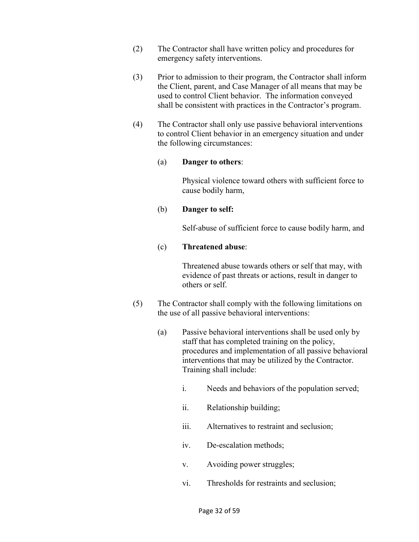- (2) The Contractor shall have written policy and procedures for emergency safety interventions.
- (3) Prior to admission to their program, the Contractor shall inform the Client, parent, and Case Manager of all means that may be used to control Client behavior. The information conveyed shall be consistent with practices in the Contractor's program.
- (4) The Contractor shall only use passive behavioral interventions to control Client behavior in an emergency situation and under the following circumstances:

#### (a) **Danger to others**:

 Physical violence toward others with sufficient force to cause bodily harm,

#### (b) **Danger to self:**

Self-abuse of sufficient force to cause bodily harm, and

#### (c) **Threatened abuse**:

 Threatened abuse towards others or self that may, with evidence of past threats or actions, result in danger to others or self.

- (5) The Contractor shall comply with the following limitations on the use of all passive behavioral interventions:
	- (a) Passive behavioral interventions shall be used only by staff that has completed training on the policy, procedures and implementation of all passive behavioral interventions that may be utilized by the Contractor. Training shall include:
		- i. Needs and behaviors of the population served;
		- ii. Relationship building;
		- iii. Alternatives to restraint and seclusion;
		- iv. De-escalation methods;
		- v. Avoiding power struggles;
		- vi. Thresholds for restraints and seclusion;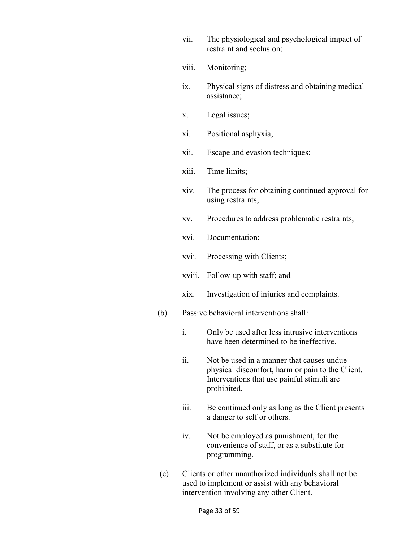- vii. The physiological and psychological impact of restraint and seclusion;
- viii. Monitoring;
- ix. Physical signs of distress and obtaining medical assistance;
- x. Legal issues;
- xi. Positional asphyxia;
- xii. Escape and evasion techniques;
- xiii. Time limits;
- xiv. The process for obtaining continued approval for using restraints;
- xv. Procedures to address problematic restraints;
- xvi. Documentation;
- xvii. Processing with Clients;
- xviii. Follow-up with staff; and
- xix. Investigation of injuries and complaints.
- (b) Passive behavioral interventions shall:
	- i. Only be used after less intrusive interventions have been determined to be ineffective.
	- ii. Not be used in a manner that causes undue physical discomfort, harm or pain to the Client. Interventions that use painful stimuli are prohibited.
	- iii. Be continued only as long as the Client presents a danger to self or others.
	- iv. Not be employed as punishment, for the convenience of staff, or as a substitute for programming.
- (c) Clients or other unauthorized individuals shall not be used to implement or assist with any behavioral intervention involving any other Client.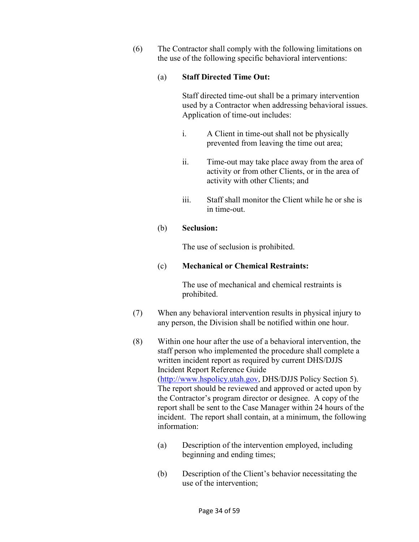(6) The Contractor shall comply with the following limitations on the use of the following specific behavioral interventions:

#### (a) **Staff Directed Time Out:**

Staff directed time-out shall be a primary intervention used by a Contractor when addressing behavioral issues. Application of time-out includes:

- i. A Client in time-out shall not be physically prevented from leaving the time out area;
- ii. Time-out may take place away from the area of activity or from other Clients, or in the area of activity with other Clients; and
- iii. Staff shall monitor the Client while he or she is in time-out.

#### (b) **Seclusion:**

The use of seclusion is prohibited.

#### (c) **Mechanical or Chemical Restraints:**

The use of mechanical and chemical restraints is prohibited.

- (7) When any behavioral intervention results in physical injury to any person, the Division shall be notified within one hour.
- (8) Within one hour after the use of a behavioral intervention, the staff person who implemented the procedure shall complete a written incident report as required by current DHS/DJJS Incident Report Reference Guide (http://www.hspolicy.utah.gov, DHS/DJJS Policy Section 5). The report should be reviewed and approved or acted upon by the Contractor's program director or designee. A copy of the report shall be sent to the Case Manager within 24 hours of the incident. The report shall contain, at a minimum, the following information:
	- (a) Description of the intervention employed, including beginning and ending times;
	- (b) Description of the Client's behavior necessitating the use of the intervention;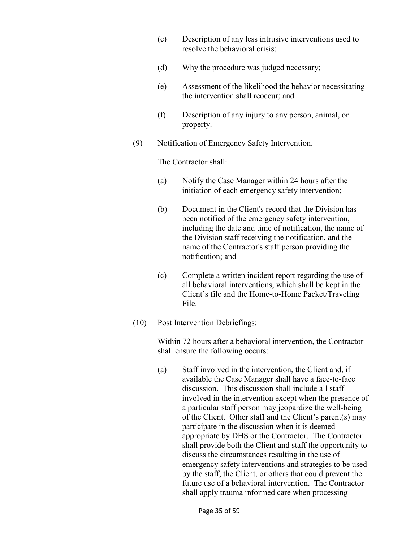- (c) Description of any less intrusive interventions used to resolve the behavioral crisis;
- (d) Why the procedure was judged necessary;
- (e) Assessment of the likelihood the behavior necessitating the intervention shall reoccur; and
- (f) Description of any injury to any person, animal, or property.
- (9) Notification of Emergency Safety Intervention.

The Contractor shall:

- (a) Notify the Case Manager within 24 hours after the initiation of each emergency safety intervention;
- (b) Document in the Client's record that the Division has been notified of the emergency safety intervention, including the date and time of notification, the name of the Division staff receiving the notification, and the name of the Contractor's staff person providing the notification; and
- (c) Complete a written incident report regarding the use of all behavioral interventions, which shall be kept in the Client's file and the Home-to-Home Packet/Traveling File.
- (10) Post Intervention Debriefings:

Within 72 hours after a behavioral intervention, the Contractor shall ensure the following occurs:

(a) Staff involved in the intervention, the Client and, if available the Case Manager shall have a face-to-face discussion. This discussion shall include all staff involved in the intervention except when the presence of a particular staff person may jeopardize the well-being of the Client. Other staff and the Client's parent(s) may participate in the discussion when it is deemed appropriate by DHS or the Contractor. The Contractor shall provide both the Client and staff the opportunity to discuss the circumstances resulting in the use of emergency safety interventions and strategies to be used by the staff, the Client, or others that could prevent the future use of a behavioral intervention. The Contractor shall apply trauma informed care when processing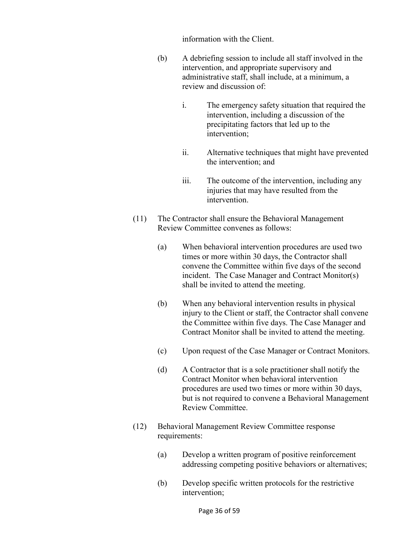information with the Client.

- (b) A debriefing session to include all staff involved in the intervention, and appropriate supervisory and administrative staff, shall include, at a minimum, a review and discussion of:
	- i. The emergency safety situation that required the intervention, including a discussion of the precipitating factors that led up to the intervention;
	- ii. Alternative techniques that might have prevented the intervention; and
	- iii. The outcome of the intervention, including any injuries that may have resulted from the intervention.
- (11) The Contractor shall ensure the Behavioral Management Review Committee convenes as follows:
	- (a) When behavioral intervention procedures are used two times or more within 30 days, the Contractor shall convene the Committee within five days of the second incident. The Case Manager and Contract Monitor(s) shall be invited to attend the meeting.
	- (b) When any behavioral intervention results in physical injury to the Client or staff, the Contractor shall convene the Committee within five days. The Case Manager and Contract Monitor shall be invited to attend the meeting.
	- (c) Upon request of the Case Manager or Contract Monitors.
	- (d) A Contractor that is a sole practitioner shall notify the Contract Monitor when behavioral intervention procedures are used two times or more within 30 days, but is not required to convene a Behavioral Management Review Committee.
- (12) Behavioral Management Review Committee response requirements:
	- (a) Develop a written program of positive reinforcement addressing competing positive behaviors or alternatives;
	- (b) Develop specific written protocols for the restrictive intervention;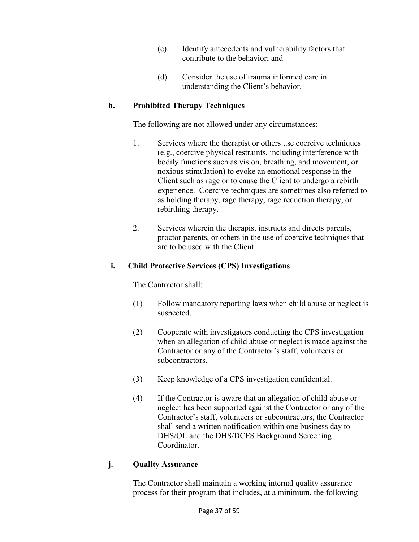- (c) Identify antecedents and vulnerability factors that contribute to the behavior; and
- (d) Consider the use of trauma informed care in understanding the Client's behavior.

#### **h. Prohibited Therapy Techniques**

The following are not allowed under any circumstances:

- 1. Services where the therapist or others use coercive techniques (e.g., coercive physical restraints, including interference with bodily functions such as vision, breathing, and movement, or noxious stimulation) to evoke an emotional response in the Client such as rage or to cause the Client to undergo a rebirth experience. Coercive techniques are sometimes also referred to as holding therapy, rage therapy, rage reduction therapy, or rebirthing therapy.
- 2. Services wherein the therapist instructs and directs parents, proctor parents, or others in the use of coercive techniques that are to be used with the Client.

#### **i. Child Protective Services (CPS) Investigations**

The Contractor shall:

- (1) Follow mandatory reporting laws when child abuse or neglect is suspected.
- (2) Cooperate with investigators conducting the CPS investigation when an allegation of child abuse or neglect is made against the Contractor or any of the Contractor's staff, volunteers or subcontractors.
- (3) Keep knowledge of a CPS investigation confidential.
- (4) If the Contractor is aware that an allegation of child abuse or neglect has been supported against the Contractor or any of the Contractor's staff, volunteers or subcontractors, the Contractor shall send a written notification within one business day to DHS/OL and the DHS/DCFS Background Screening **Coordinator**

#### **j. Quality Assurance**

The Contractor shall maintain a working internal quality assurance process for their program that includes, at a minimum, the following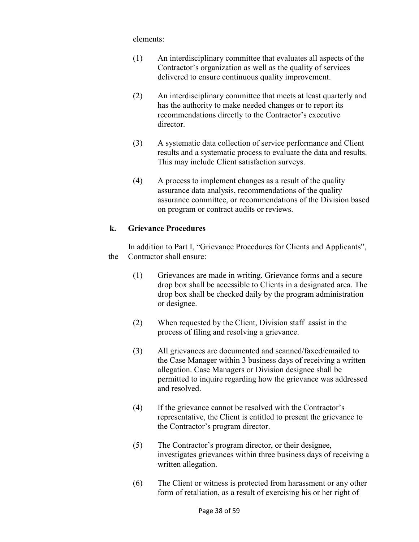elements:

- (1) An interdisciplinary committee that evaluates all aspects of the Contractor's organization as well as the quality of services delivered to ensure continuous quality improvement.
- (2) An interdisciplinary committee that meets at least quarterly and has the authority to make needed changes or to report its recommendations directly to the Contractor's executive director.
- (3) A systematic data collection of service performance and Client results and a systematic process to evaluate the data and results. This may include Client satisfaction surveys.
- (4) A process to implement changes as a result of the quality assurance data analysis, recommendations of the quality assurance committee, or recommendations of the Division based on program or contract audits or reviews.

#### **k. Grievance Procedures**

 In addition to Part I, "Grievance Procedures for Clients and Applicants", the Contractor shall ensure:

- (1) Grievances are made in writing. Grievance forms and a secure drop box shall be accessible to Clients in a designated area. The drop box shall be checked daily by the program administration or designee.
- (2) When requested by the Client, Division staff assist in the process of filing and resolving a grievance.
- (3) All grievances are documented and scanned/faxed/emailed to the Case Manager within 3 business days of receiving a written allegation. Case Managers or Division designee shall be permitted to inquire regarding how the grievance was addressed and resolved.
- (4) If the grievance cannot be resolved with the Contractor's representative, the Client is entitled to present the grievance to the Contractor's program director.
- (5) The Contractor's program director, or their designee, investigates grievances within three business days of receiving a written allegation.
- (6) The Client or witness is protected from harassment or any other form of retaliation, as a result of exercising his or her right of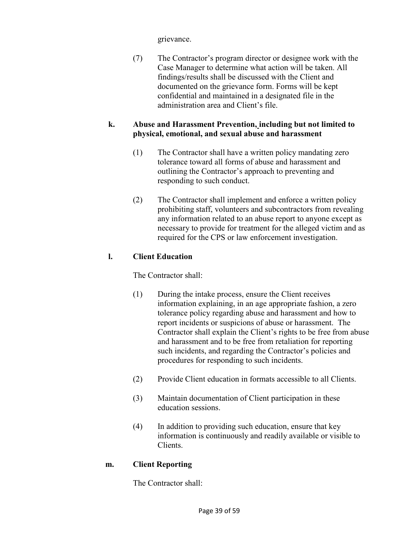grievance.

(7) The Contractor's program director or designee work with the Case Manager to determine what action will be taken. All findings/results shall be discussed with the Client and documented on the grievance form. Forms will be kept confidential and maintained in a designated file in the administration area and Client's file.

#### **k. Abuse and Harassment Prevention, including but not limited to physical, emotional, and sexual abuse and harassment**

- (1) The Contractor shall have a written policy mandating zero tolerance toward all forms of abuse and harassment and outlining the Contractor's approach to preventing and responding to such conduct.
- (2) The Contractor shall implement and enforce a written policy prohibiting staff, volunteers and subcontractors from revealing any information related to an abuse report to anyone except as necessary to provide for treatment for the alleged victim and as required for the CPS or law enforcement investigation.

## **l. Client Education**

The Contractor shall:

- (1) During the intake process, ensure the Client receives information explaining, in an age appropriate fashion, a zero tolerance policy regarding abuse and harassment and how to report incidents or suspicions of abuse or harassment. The Contractor shall explain the Client's rights to be free from abuse and harassment and to be free from retaliation for reporting such incidents, and regarding the Contractor's policies and procedures for responding to such incidents.
- (2) Provide Client education in formats accessible to all Clients.
- (3) Maintain documentation of Client participation in these education sessions.
- (4) In addition to providing such education, ensure that key information is continuously and readily available or visible to Clients.

#### **m. Client Reporting**

The Contractor shall: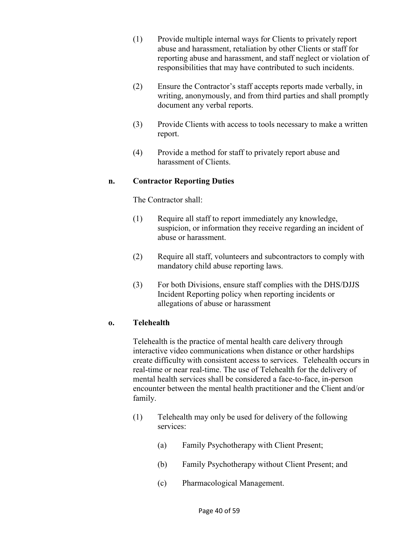- (1) Provide multiple internal ways for Clients to privately report abuse and harassment, retaliation by other Clients or staff for reporting abuse and harassment, and staff neglect or violation of responsibilities that may have contributed to such incidents.
- (2) Ensure the Contractor's staff accepts reports made verbally, in writing, anonymously, and from third parties and shall promptly document any verbal reports.
- (3) Provide Clients with access to tools necessary to make a written report.
- (4) Provide a method for staff to privately report abuse and harassment of Clients.

#### **n. Contractor Reporting Duties**

The Contractor shall:

- (1) Require all staff to report immediately any knowledge, suspicion, or information they receive regarding an incident of abuse or harassment.
- (2) Require all staff, volunteers and subcontractors to comply with mandatory child abuse reporting laws.
- (3) For both Divisions, ensure staff complies with the DHS/DJJS Incident Reporting policy when reporting incidents or allegations of abuse or harassment

#### **o. Telehealth**

Telehealth is the practice of mental health care delivery through interactive video communications when distance or other hardships create difficulty with consistent access to services. Telehealth occurs in real-time or near real-time. The use of Telehealth for the delivery of mental health services shall be considered a face-to-face, in-person encounter between the mental health practitioner and the Client and/or family.

- (1) Telehealth may only be used for delivery of the following services:
	- (a) Family Psychotherapy with Client Present;
	- (b) Family Psychotherapy without Client Present; and
	- (c) Pharmacological Management.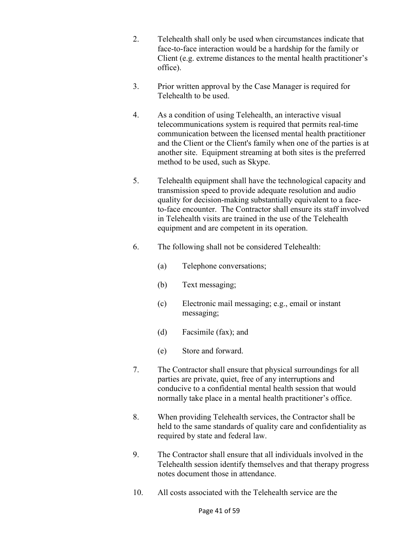- 2. Telehealth shall only be used when circumstances indicate that face-to-face interaction would be a hardship for the family or Client (e.g. extreme distances to the mental health practitioner's office).
- 3. Prior written approval by the Case Manager is required for Telehealth to be used.
- 4. As a condition of using Telehealth, an interactive visual telecommunications system is required that permits real-time communication between the licensed mental health practitioner and the Client or the Client's family when one of the parties is at another site. Equipment streaming at both sites is the preferred method to be used, such as Skype.
- 5. Telehealth equipment shall have the technological capacity and transmission speed to provide adequate resolution and audio quality for decision-making substantially equivalent to a faceto-face encounter. The Contractor shall ensure its staff involved in Telehealth visits are trained in the use of the Telehealth equipment and are competent in its operation.
- 6. The following shall not be considered Telehealth:
	- (a) Telephone conversations;
	- (b) Text messaging;
	- (c) Electronic mail messaging; e.g., email or instant messaging;
	- (d) Facsimile (fax); and
	- (e) Store and forward.
- 7. The Contractor shall ensure that physical surroundings for all parties are private, quiet, free of any interruptions and conducive to a confidential mental health session that would normally take place in a mental health practitioner's office.
- 8. When providing Telehealth services, the Contractor shall be held to the same standards of quality care and confidentiality as required by state and federal law.
- 9. The Contractor shall ensure that all individuals involved in the Telehealth session identify themselves and that therapy progress notes document those in attendance.
- 10. All costs associated with the Telehealth service are the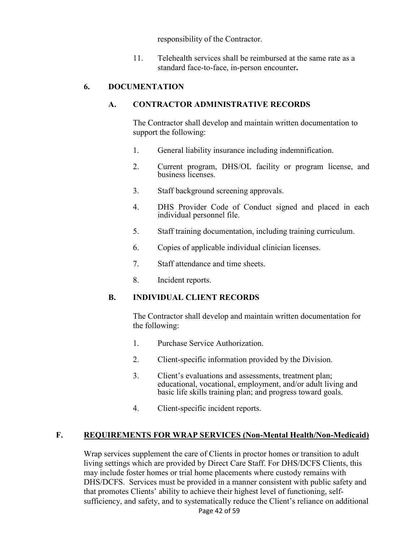responsibility of the Contractor.

11. Telehealth services shall be reimbursed at the same rate as a standard face-to-face, in-person encounter**.** 

#### **6. DOCUMENTATION**

#### **A. CONTRACTOR ADMINISTRATIVE RECORDS**

 The Contractor shall develop and maintain written documentation to support the following:

- 1. General liability insurance including indemnification.
- 2. Current program, DHS/OL facility or program license, and business licenses.
- 3. Staff background screening approvals.
- 4. DHS Provider Code of Conduct signed and placed in each individual personnel file.
- 5. Staff training documentation, including training curriculum.
- 6. Copies of applicable individual clinician licenses.
- 7. Staff attendance and time sheets.
- 8. Incident reports.

## **B. INDIVIDUAL CLIENT RECORDS**

 The Contractor shall develop and maintain written documentation for the following:

- 1. Purchase Service Authorization.
- 2. Client-specific information provided by the Division.
- 3. Client's evaluations and assessments, treatment plan; educational, vocational, employment, and/or adult living and basic life skills training plan; and progress toward goals.
- 4. Client-specific incident reports.

## **F. REQUIREMENTS FOR WRAP SERVICES (Non-Mental Health/Non-Medicaid)**

Wrap services supplement the care of Clients in proctor homes or transition to adult living settings which are provided by Direct Care Staff. For DHS/DCFS Clients, this may include foster homes or trial home placements where custody remains with DHS/DCFS. Services must be provided in a manner consistent with public safety and that promotes Clients' ability to achieve their highest level of functioning, selfsufficiency, and safety, and to systematically reduce the Client's reliance on additional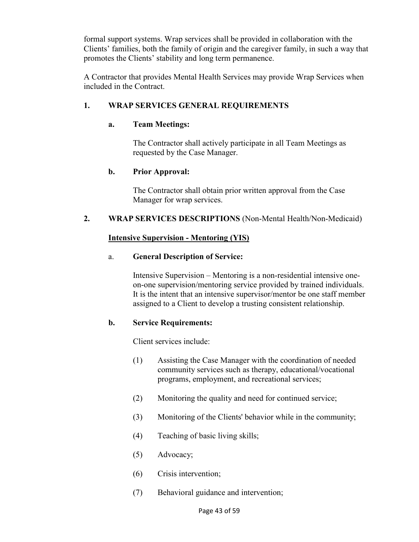formal support systems. Wrap services shall be provided in collaboration with the Clients' families, both the family of origin and the caregiver family, in such a way that promotes the Clients' stability and long term permanence.

A Contractor that provides Mental Health Services may provide Wrap Services when included in the Contract.

## **1. WRAP SERVICES GENERAL REQUIREMENTS**

## **a. Team Meetings:**

The Contractor shall actively participate in all Team Meetings as requested by the Case Manager.

## **b. Prior Approval:**

The Contractor shall obtain prior written approval from the Case Manager for wrap services.

#### **2. WRAP SERVICES DESCRIPTIONS** (Non-Mental Health/Non-Medicaid)

#### **Intensive Supervision - Mentoring (YIS)**

#### a. **General Description of Service:**

Intensive Supervision – Mentoring is a non-residential intensive oneon-one supervision/mentoring service provided by trained individuals. It is the intent that an intensive supervisor/mentor be one staff member assigned to a Client to develop a trusting consistent relationship.

#### **b. Service Requirements:**

Client services include:

- (1) Assisting the Case Manager with the coordination of needed community services such as therapy, educational/vocational programs, employment, and recreational services;
- (2) Monitoring the quality and need for continued service;
- (3) Monitoring of the Clients' behavior while in the community;
- (4) Teaching of basic living skills;
- (5) Advocacy;
- (6) Crisis intervention;
- (7) Behavioral guidance and intervention;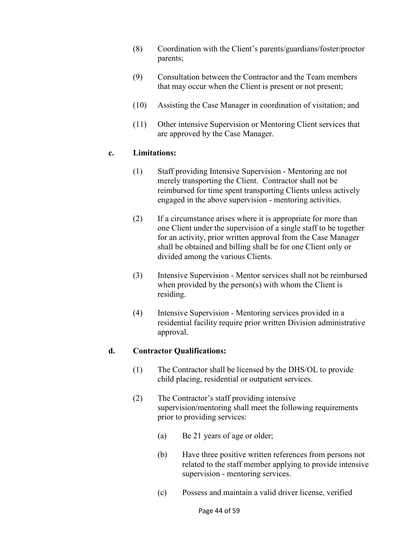- (8) Coordination with the Client's parents/guardians/foster/proctor parents;
- (9) Consultation between the Contractor and the Team members that may occur when the Client is present or not present;
- (10) Assisting the Case Manager in coordination of visitation; and
- (11) Other intensive Supervision or Mentoring Client services that are approved by the Case Manager.

#### **c. Limitations:**

- (1) Staff providing Intensive Supervision Mentoring are not merely transporting the Client. Contractor shall not be reimbursed for time spent transporting Clients unless actively engaged in the above supervision - mentoring activities.
- (2) If a circumstance arises where it is appropriate for more than one Client under the supervision of a single staff to be together for an activity, prior written approval from the Case Manager shall be obtained and billing shall be for one Client only or divided among the various Clients.
- (3) Intensive Supervision Mentor services shall not be reimbursed when provided by the person(s) with whom the Client is residing.
- (4) Intensive Supervision Mentoring services provided in a residential facility require prior written Division administrative approval.

## **d. Contractor Qualifications:**

- (1) The Contractor shall be licensed by the DHS/OL to provide child placing, residential or outpatient services.
- (2) The Contractor's staff providing intensive supervision/mentoring shall meet the following requirements prior to providing services:
	- (a) Be 21 years of age or older;
	- (b) Have three positive written references from persons not related to the staff member applying to provide intensive supervision - mentoring services.
	- (c) Possess and maintain a valid driver license, verified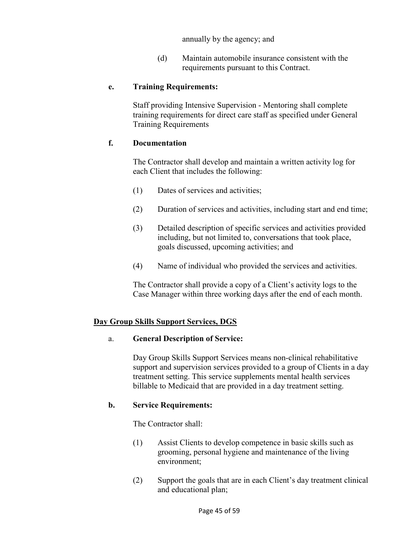annually by the agency; and

(d) Maintain automobile insurance consistent with the requirements pursuant to this Contract.

#### **e. Training Requirements:**

Staff providing Intensive Supervision - Mentoring shall complete training requirements for direct care staff as specified under General Training Requirements

#### **f. Documentation**

 The Contractor shall develop and maintain a written activity log for each Client that includes the following:

- (1) Dates of services and activities;
- (2) Duration of services and activities, including start and end time;
- (3) Detailed description of specific services and activities provided including, but not limited to, conversations that took place, goals discussed, upcoming activities; and
- (4) Name of individual who provided the services and activities.

The Contractor shall provide a copy of a Client's activity logs to the Case Manager within three working days after the end of each month.

#### **Day Group Skills Support Services, DGS**

#### a. **General Description of Service:**

Day Group Skills Support Services means non-clinical rehabilitative support and supervision services provided to a group of Clients in a day treatment setting. This service supplements mental health services billable to Medicaid that are provided in a day treatment setting.

#### **b. Service Requirements:**

The Contractor shall:

- (1) Assist Clients to develop competence in basic skills such as grooming, personal hygiene and maintenance of the living environment;
- (2) Support the goals that are in each Client's day treatment clinical and educational plan;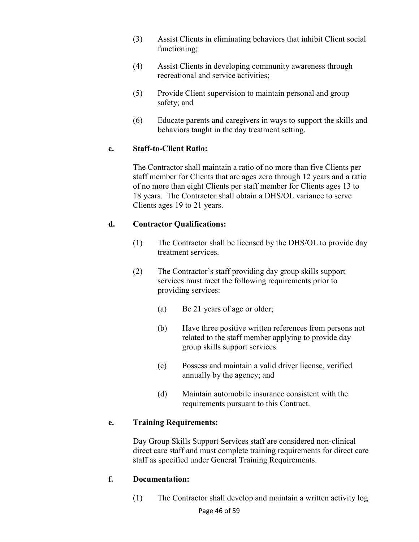- (3) Assist Clients in eliminating behaviors that inhibit Client social functioning;
- (4) Assist Clients in developing community awareness through recreational and service activities;
- (5) Provide Client supervision to maintain personal and group safety; and
- (6) Educate parents and caregivers in ways to support the skills and behaviors taught in the day treatment setting.

## **c. Staff-to-Client Ratio:**

The Contractor shall maintain a ratio of no more than five Clients per staff member for Clients that are ages zero through 12 years and a ratio of no more than eight Clients per staff member for Clients ages 13 to 18 years. The Contractor shall obtain a DHS/OL variance to serve Clients ages 19 to 21 years.

#### **d. Contractor Qualifications:**

- (1) The Contractor shall be licensed by the DHS/OL to provide day treatment services.
- (2) The Contractor's staff providing day group skills support services must meet the following requirements prior to providing services:
	- (a) Be 21 years of age or older;
	- (b) Have three positive written references from persons not related to the staff member applying to provide day group skills support services.
	- (c) Possess and maintain a valid driver license, verified annually by the agency; and
	- (d) Maintain automobile insurance consistent with the requirements pursuant to this Contract.

## **e. Training Requirements:**

Day Group Skills Support Services staff are considered non-clinical direct care staff and must complete training requirements for direct care staff as specified under General Training Requirements.

#### **f. Documentation:**

(1) The Contractor shall develop and maintain a written activity log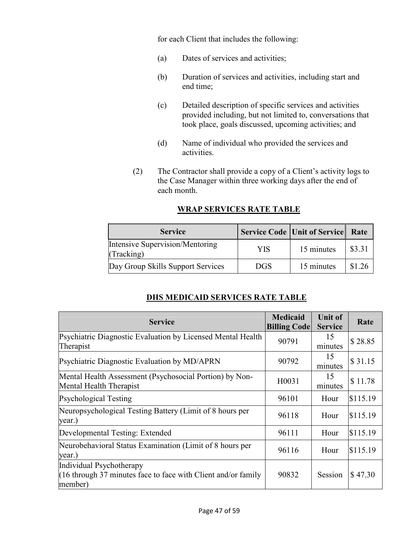for each Client that includes the following:

- (a) Dates of services and activities;
- (b) Duration of services and activities, including start and end time;
- (c) Detailed description of specific services and activities provided including, but not limited to, conversations that took place, goals discussed, upcoming activities; and
- (d) Name of individual who provided the services and activities.
- (2) The Contractor shall provide a copy of a Client's activity logs to the Case Manager within three working days after the end of each month.

| <b>Service</b>                                       |            | Service Code Unit of Service Rate |        |
|------------------------------------------------------|------------|-----------------------------------|--------|
| <b>Intensive Supervision/Mentoring</b><br>(Tracking) | YIS.       | 15 minutes                        | \$3.31 |
| Day Group Skills Support Services                    | <b>DGS</b> | 15 minutes                        | \$1.26 |

#### **WRAP SERVICES RATE TABLE**

## **DHS MEDICAID SERVICES RATE TABLE**

| <b>Service</b>                                                                                         | <b>Medicaid</b><br><b>Billing Code</b> | <b>Unit of</b><br><b>Service</b> | Rate     |
|--------------------------------------------------------------------------------------------------------|----------------------------------------|----------------------------------|----------|
| Psychiatric Diagnostic Evaluation by Licensed Mental Health<br>Therapist                               | 90791                                  | 15<br>minutes                    | \$28.85  |
| Psychiatric Diagnostic Evaluation by MD/APRN                                                           | 90792                                  | 15<br>minutes                    | \$31.15  |
| Mental Health Assessment (Psychosocial Portion) by Non-<br>Mental Health Therapist                     | H0031                                  | 15<br>minutes                    | \$11.78  |
| <b>Psychological Testing</b>                                                                           | 96101                                  | Hour                             | \$115.19 |
| Neuropsychological Testing Battery (Limit of 8 hours per<br>year.)                                     | 96118                                  | Hour                             | \$115.19 |
| Developmental Testing: Extended                                                                        | 96111                                  | Hour                             | \$115.19 |
| Neurobehavioral Status Examination (Limit of 8 hours per<br>year.)                                     | 96116                                  | Hour                             | \$115.19 |
| Individual Psychotherapy<br>$(16$ through 37 minutes face to face with Client and/or family<br>member) | 90832                                  | Session                          | \$47.30  |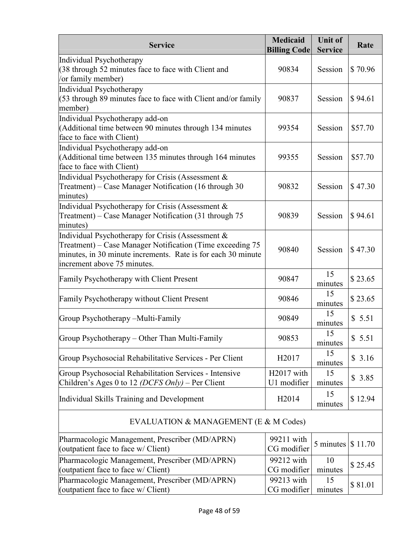| <b>Service</b>                                                                                                                                                                                                | <b>Medicaid</b><br><b>Billing Code</b> | <b>Unit of</b><br><b>Service</b> | Rate    |
|---------------------------------------------------------------------------------------------------------------------------------------------------------------------------------------------------------------|----------------------------------------|----------------------------------|---------|
| Individual Psychotherapy<br>$(38$ through 52 minutes face to face with Client and<br>/or family member)                                                                                                       | 90834                                  | Session                          | \$70.96 |
| Individual Psychotherapy<br>$(53$ through 89 minutes face to face with Client and/or family<br>member)                                                                                                        | 90837                                  | Session                          | \$94.61 |
| Individual Psychotherapy add-on<br>(Additional time between 90 minutes through 134 minutes<br>face to face with Client)                                                                                       | 99354                                  | Session                          | \$57.70 |
| Individual Psychotherapy add-on<br>(Additional time between 135 minutes through 164 minutes<br>face to face with Client)                                                                                      | 99355                                  | Session                          | \$57.70 |
| Individual Psychotherapy for Crisis (Assessment &<br>Treatment) – Case Manager Notification (16 through 30<br>minutes)                                                                                        | 90832                                  | Session                          | \$47.30 |
| Individual Psychotherapy for Crisis (Assessment &<br>Treatment) – Case Manager Notification (31 through 75<br>minutes)                                                                                        | 90839                                  | Session                          | \$94.61 |
| Individual Psychotherapy for Crisis (Assessment &<br>Treatment) – Case Manager Notification (Time exceeding 75<br>minutes, in 30 minute increments. Rate is for each 30 minute<br>increment above 75 minutes. | 90840                                  | Session                          | \$47.30 |
| Family Psychotherapy with Client Present                                                                                                                                                                      | 90847                                  | 15<br>minutes                    | \$23.65 |
| Family Psychotherapy without Client Present                                                                                                                                                                   | 90846                                  | 15<br>minutes                    | \$23.65 |
| Group Psychotherapy – Multi-Family                                                                                                                                                                            | 90849                                  | 15<br>minutes                    | \$5.51  |
| Group Psychotherapy - Other Than Multi-Family                                                                                                                                                                 | 90853                                  | 15<br>minutes                    | \$5.51  |
| Group Psychosocial Rehabilitative Services - Per Client                                                                                                                                                       | H2017                                  | 15<br>minutes                    | \$3.16  |
| Group Psychosocial Rehabilitation Services - Intensive<br>Children's Ages 0 to 12 (DCFS Only) – Per Client                                                                                                    | H2017 with<br>U1 modifier              | 15<br>minutes                    | \$3.85  |
| Individual Skills Training and Development                                                                                                                                                                    | H <sub>2014</sub>                      | 15<br>minutes                    | \$12.94 |
| EVALUATION & MANAGEMENT (E & M Codes)                                                                                                                                                                         |                                        |                                  |         |
| Pharmacologic Management, Prescriber (MD/APRN)<br>(outpatient face to face w/ Client)                                                                                                                         | 99211 with<br>CG modifier              | 5 minutes                        | \$11.70 |
| Pharmacologic Management, Prescriber (MD/APRN)<br>(outpatient face to face w/ Client)                                                                                                                         | 99212 with<br>CG modifier              | 10<br>minutes                    | \$25.45 |
| Pharmacologic Management, Prescriber (MD/APRN)<br>(outpatient face to face w/ Client)                                                                                                                         | 99213 with<br>CG modifier              | 15<br>minutes                    | \$81.01 |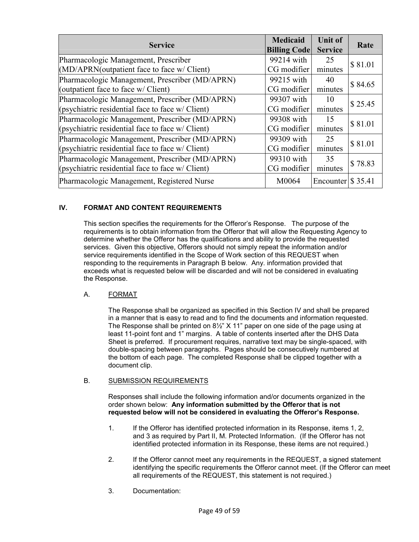| <b>Service</b>                                     | <b>Medicaid</b><br><b>Billing Code</b> | <b>Unit of</b><br><b>Service</b> | Rate    |  |
|----------------------------------------------------|----------------------------------------|----------------------------------|---------|--|
| Pharmacologic Management, Prescriber               | 99214 with                             | 25                               | \$81.01 |  |
| $(MD/APRN$ (outpatient face to face w/ Client)     | CG modifier                            | minutes                          |         |  |
| Pharmacologic Management, Prescriber (MD/APRN)     | 99215 with                             | 40                               | \$84.65 |  |
| (outpatient face to face w/ Client)                | CG modifier                            | minutes                          |         |  |
| Pharmacologic Management, Prescriber (MD/APRN)     | 99307 with                             | 10                               | \$25.45 |  |
| (psychiatric residential face to face $w/C$ lient) | CG modifier                            | minutes                          |         |  |
| Pharmacologic Management, Prescriber (MD/APRN)     | 99308 with                             | 15                               | \$81.01 |  |
| (psychiatric residential face to face $w/$ Client) | CG modifier                            | minutes                          |         |  |
| Pharmacologic Management, Prescriber (MD/APRN)     | 99309 with                             | 25                               | \$81.01 |  |
| (psychiatric residential face to face $w/C$ lient) | CG modifier                            | minutes                          |         |  |
| Pharmacologic Management, Prescriber (MD/APRN)     | 99310 with                             | 35                               | \$78.83 |  |
| (psychiatric residential face to face $w/C$ lient) | CG modifier                            | minutes                          |         |  |
| Pharmacologic Management, Registered Nurse         | M0064                                  | Encounter $\frac{1}{3}$ 35.41    |         |  |

#### **IV. FORMAT AND CONTENT REQUIREMENTS**

This section specifies the requirements for the Offeror's Response. The purpose of the requirements is to obtain information from the Offeror that will allow the Requesting Agency to determine whether the Offeror has the qualifications and ability to provide the requested services. Given this objective, Offerors should not simply repeat the information and/or service requirements identified in the Scope of Work section of this REQUEST when responding to the requirements in Paragraph B below. Any. information provided that exceeds what is requested below will be discarded and will not be considered in evaluating the Response.

#### A. FORMAT

The Response shall be organized as specified in this Section IV and shall be prepared in a manner that is easy to read and to find the documents and information requested. The Response shall be printed on 8½" X 11" paper on one side of the page using at least 11-point font and 1" margins. A table of contents inserted after the DHS Data Sheet is preferred. If procurement requires, narrative text may be single-spaced, with double-spacing between paragraphs. Pages should be consecutively numbered at the bottom of each page. The completed Response shall be clipped together with a document clip.

#### B. SUBMISSION REQUIREMENTS

Responses shall include the following information and/or documents organized in the order shown below: **Any information submitted by the Offeror that is not requested below will not be considered in evaluating the Offeror's Response.** 

- 1. If the Offeror has identified protected information in its Response, items 1, 2, and 3 as required by Part II, M. Protected Information. (If the Offeror has not identified protected information in its Response, these items are not required.)
- 2. If the Offeror cannot meet any requirements in the REQUEST, a signed statement identifying the specific requirements the Offeror cannot meet. (If the Offeror can meet all requirements of the REQUEST, this statement is not required.)
- 3. Documentation: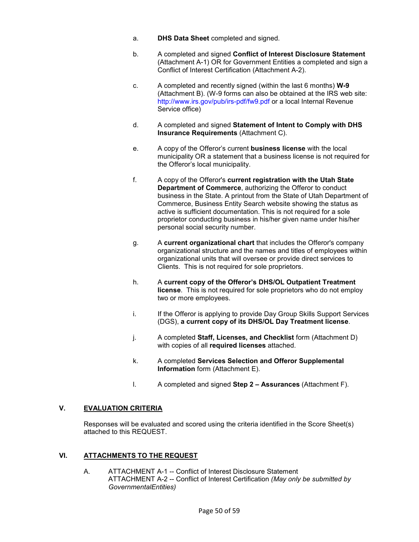- a. **DHS Data Sheet** completed and signed.
- b. A completed and signed **Conflict of Interest Disclosure Statement** (Attachment A-1) OR for Government Entities a completed and sign a Conflict of Interest Certification (Attachment A-2).
- c. A completed and recently signed (within the last 6 months) **W-9**  (Attachment B). (W-9 forms can also be obtained at the IRS web site: http://www.irs.gov/pub/irs-pdf/fw9.pdf or a local Internal Revenue Service office)
- d. A completed and signed **Statement of Intent to Comply with DHS Insurance Requirements** (Attachment C).
- e. A copy of the Offeror's current **business license** with the local municipality OR a statement that a business license is not required for the Offeror's local municipality.
- f. A copy of the Offeror's **current registration with the Utah State Department of Commerce**, authorizing the Offeror to conduct business in the State. A printout from the State of Utah Department of Commerce, Business Entity Search website showing the status as active is sufficient documentation. This is not required for a sole proprietor conducting business in his/her given name under his/her personal social security number.
- g. A **current organizational chart** that includes the Offeror's company organizational structure and the names and titles of employees within organizational units that will oversee or provide direct services to Clients. This is not required for sole proprietors.
- h. A **current copy of the Offeror's DHS/OL Outpatient Treatment license**. This is not required for sole proprietors who do not employ two or more employees.
- i. If the Offeror is applying to provide Day Group Skills Support Services (DGS), **a current copy of its DHS/OL Day Treatment license**.
- j. A completed **Staff, Licenses, and Checklist** form (Attachment D) with copies of all **required licenses** attached.
- k. A completed **Services Selection and Offeror Supplemental Information** form (Attachment E).
- l. A completed and signed **Step 2 Assurances** (Attachment F).

#### **V. EVALUATION CRITERIA**

Responses will be evaluated and scored using the criteria identified in the Score Sheet(s) attached to this REQUEST.

#### **VI. ATTACHMENTS TO THE REQUEST**

A. ATTACHMENT A-1 -- Conflict of Interest Disclosure Statement ATTACHMENT A-2 -- Conflict of Interest Certification *(May only be submitted by GovernmentalEntities)*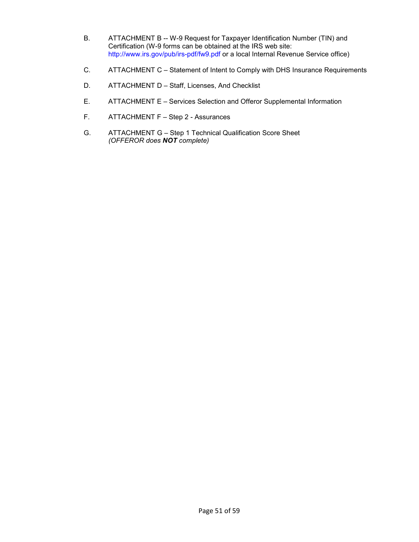- B. ATTACHMENT B -- W-9 Request for Taxpayer Identification Number (TIN) and Certification (W-9 forms can be obtained at the IRS web site: http://www.irs.gov/pub/irs-pdf/fw9.pdf or a local Internal Revenue Service office)
- C. ATTACHMENT C Statement of Intent to Comply with DHS Insurance Requirements
- D. ATTACHMENT D Staff, Licenses, And Checklist
- E. ATTACHMENT E - Services Selection and Offeror Supplemental Information
- F. ATTACHMENT F - Step 2 - Assurances
- G. ATTACHMENT G Step 1 Technical Qualification Score Sheet *(OFFEROR does NOT complete)*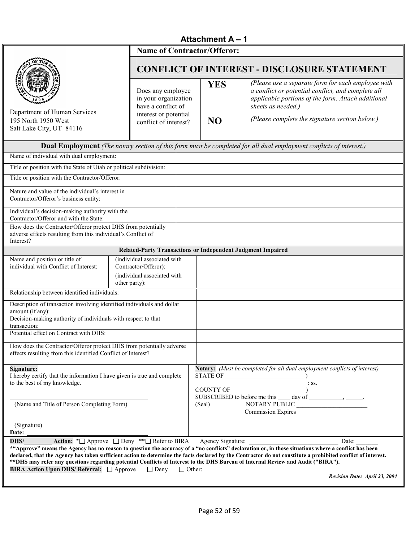## **Attachment A – 1**

| <b>Name of Contractor/Offeror:</b>                                                                                                                                                                                                                                                                                                                                                                                                                                                                                                                                                                                                                                                                                                                                                                                                                                                          |                                                                    |  |                |                                                                                                                                                                                                                                                                                                                                                                                                                                                                                        |  |
|---------------------------------------------------------------------------------------------------------------------------------------------------------------------------------------------------------------------------------------------------------------------------------------------------------------------------------------------------------------------------------------------------------------------------------------------------------------------------------------------------------------------------------------------------------------------------------------------------------------------------------------------------------------------------------------------------------------------------------------------------------------------------------------------------------------------------------------------------------------------------------------------|--------------------------------------------------------------------|--|----------------|----------------------------------------------------------------------------------------------------------------------------------------------------------------------------------------------------------------------------------------------------------------------------------------------------------------------------------------------------------------------------------------------------------------------------------------------------------------------------------------|--|
|                                                                                                                                                                                                                                                                                                                                                                                                                                                                                                                                                                                                                                                                                                                                                                                                                                                                                             |                                                                    |  |                | <b>CONFLICT OF INTEREST - DISCLOSURE STATEMENT</b>                                                                                                                                                                                                                                                                                                                                                                                                                                     |  |
| Department of Human Services                                                                                                                                                                                                                                                                                                                                                                                                                                                                                                                                                                                                                                                                                                                                                                                                                                                                | Does any employee<br>in your organization<br>have a conflict of    |  | <b>YES</b>     | (Please use a separate form for each employee with<br>a conflict or potential conflict, and complete all<br>applicable portions of the form. Attach additional<br>sheets as needed.)                                                                                                                                                                                                                                                                                                   |  |
| 195 North 1950 West<br>Salt Lake City, UT 84116                                                                                                                                                                                                                                                                                                                                                                                                                                                                                                                                                                                                                                                                                                                                                                                                                                             | interest or potential<br>conflict of interest?                     |  | N <sub>O</sub> | (Please complete the signature section below.)                                                                                                                                                                                                                                                                                                                                                                                                                                         |  |
|                                                                                                                                                                                                                                                                                                                                                                                                                                                                                                                                                                                                                                                                                                                                                                                                                                                                                             |                                                                    |  |                | <b>Dual Employment</b> (The notary section of this form must be completed for all dual employment conflicts of interest.)                                                                                                                                                                                                                                                                                                                                                              |  |
| Name of individual with dual employment:                                                                                                                                                                                                                                                                                                                                                                                                                                                                                                                                                                                                                                                                                                                                                                                                                                                    |                                                                    |  |                |                                                                                                                                                                                                                                                                                                                                                                                                                                                                                        |  |
| Title or position with the State of Utah or political subdivision:                                                                                                                                                                                                                                                                                                                                                                                                                                                                                                                                                                                                                                                                                                                                                                                                                          |                                                                    |  |                |                                                                                                                                                                                                                                                                                                                                                                                                                                                                                        |  |
| Title or position with the Contractor/Offeror:                                                                                                                                                                                                                                                                                                                                                                                                                                                                                                                                                                                                                                                                                                                                                                                                                                              |                                                                    |  |                |                                                                                                                                                                                                                                                                                                                                                                                                                                                                                        |  |
| Nature and value of the individual's interest in<br>Contractor/Offeror's business entity:                                                                                                                                                                                                                                                                                                                                                                                                                                                                                                                                                                                                                                                                                                                                                                                                   |                                                                    |  |                |                                                                                                                                                                                                                                                                                                                                                                                                                                                                                        |  |
| Individual's decision-making authority with the<br>Contractor/Offeror and with the State:                                                                                                                                                                                                                                                                                                                                                                                                                                                                                                                                                                                                                                                                                                                                                                                                   |                                                                    |  |                |                                                                                                                                                                                                                                                                                                                                                                                                                                                                                        |  |
| How does the Contractor/Offeror protect DHS from potentially<br>adverse effects resulting from this individual's Conflict of<br>Interest?                                                                                                                                                                                                                                                                                                                                                                                                                                                                                                                                                                                                                                                                                                                                                   |                                                                    |  |                |                                                                                                                                                                                                                                                                                                                                                                                                                                                                                        |  |
|                                                                                                                                                                                                                                                                                                                                                                                                                                                                                                                                                                                                                                                                                                                                                                                                                                                                                             | <b>Related-Party Transactions or Independent Judgment Impaired</b> |  |                |                                                                                                                                                                                                                                                                                                                                                                                                                                                                                        |  |
| Name and position or title of<br>individual with Conflict of Interest:                                                                                                                                                                                                                                                                                                                                                                                                                                                                                                                                                                                                                                                                                                                                                                                                                      | (individual associated with<br>Contractor/Offeror):                |  |                |                                                                                                                                                                                                                                                                                                                                                                                                                                                                                        |  |
|                                                                                                                                                                                                                                                                                                                                                                                                                                                                                                                                                                                                                                                                                                                                                                                                                                                                                             | (individual associated with<br>other party):                       |  |                |                                                                                                                                                                                                                                                                                                                                                                                                                                                                                        |  |
| Relationship between identified individuals:                                                                                                                                                                                                                                                                                                                                                                                                                                                                                                                                                                                                                                                                                                                                                                                                                                                |                                                                    |  |                |                                                                                                                                                                                                                                                                                                                                                                                                                                                                                        |  |
| Description of transaction involving identified individuals and dollar<br>amount (if any):                                                                                                                                                                                                                                                                                                                                                                                                                                                                                                                                                                                                                                                                                                                                                                                                  |                                                                    |  |                |                                                                                                                                                                                                                                                                                                                                                                                                                                                                                        |  |
| Decision-making authority of individuals with respect to that<br>transaction:                                                                                                                                                                                                                                                                                                                                                                                                                                                                                                                                                                                                                                                                                                                                                                                                               |                                                                    |  |                |                                                                                                                                                                                                                                                                                                                                                                                                                                                                                        |  |
| Potential effect on Contract with DHS:                                                                                                                                                                                                                                                                                                                                                                                                                                                                                                                                                                                                                                                                                                                                                                                                                                                      |                                                                    |  |                |                                                                                                                                                                                                                                                                                                                                                                                                                                                                                        |  |
| How does the Contractor/Offeror protect DHS from potentially adverse<br>effects resulting from this identified Conflict of Interest?                                                                                                                                                                                                                                                                                                                                                                                                                                                                                                                                                                                                                                                                                                                                                        |                                                                    |  |                |                                                                                                                                                                                                                                                                                                                                                                                                                                                                                        |  |
| Notary: (Must be completed for all dual employment conflicts of interest)<br>Signature:<br>I hereby certify that the information I have given is true and complete<br>$\begin{minipage}{.4\linewidth} \textbf{STATE OF} \begin{minipage}{.4\linewidth} \begin{minipage}{.4\linewidth} \textbf{STATE OF} \end{minipage} \end{minipage} \end{minipage} \begin{minipage}{.4\linewidth} \begin{minipage}{.4\linewidth} \begin{minipage}{.4\linewidth} \begin{minipage}{.4\linewidth} \begin{minipage}{.4\linewidth} \textbf{CFT} \end{minipage} \end{minipage} \end{minipage} \begin{minipage}{.4\linewidth} \begin{minipage}{.4\linewidth} \begin{minipage}{.4\linewidth} \begin{minipage}{.4\linewidth} \begin{minipage}{.4\linewidth} \$<br>to the best of my knowledge.<br>$\therefore$ SS.<br>COUNTY OF $\frac{1}{\text{SUBSCRIBED to before me this } \_ \text{day of } \_ \text{axis.}}$ |                                                                    |  |                |                                                                                                                                                                                                                                                                                                                                                                                                                                                                                        |  |
| (Name and Title of Person Completing Form)                                                                                                                                                                                                                                                                                                                                                                                                                                                                                                                                                                                                                                                                                                                                                                                                                                                  |                                                                    |  | (Seal)         | NOTARY PUBLIC                                                                                                                                                                                                                                                                                                                                                                                                                                                                          |  |
| (Signature)<br>Date:                                                                                                                                                                                                                                                                                                                                                                                                                                                                                                                                                                                                                                                                                                                                                                                                                                                                        |                                                                    |  |                |                                                                                                                                                                                                                                                                                                                                                                                                                                                                                        |  |
| DHS/                                                                                                                                                                                                                                                                                                                                                                                                                                                                                                                                                                                                                                                                                                                                                                                                                                                                                        |                                                                    |  |                | Action: *□ Approve □ Deny **□ Refer to BIRA Agency Signature:<br>Date:                                                                                                                                                                                                                                                                                                                                                                                                                 |  |
| <b>BIRA Action Upon DHS/ Referral:</b> □ Approve                                                                                                                                                                                                                                                                                                                                                                                                                                                                                                                                                                                                                                                                                                                                                                                                                                            |                                                                    |  |                | *"Approve" means the Agency has no reason to question the accuracy of a "no conflicts" declaration or, in those situations where a conflict has been<br>declared, that the Agency has taken sufficient action to determine the facts declared by the Contractor do not constitute a prohibited conflict of interest.<br>** DHS may refer any questions regarding potential Conflicts of Interest to the DHS Bureau of Internal Review and Audit ("BIRA").<br>$\Box$ Deny $\Box$ Other: |  |
|                                                                                                                                                                                                                                                                                                                                                                                                                                                                                                                                                                                                                                                                                                                                                                                                                                                                                             |                                                                    |  |                | Revision Date: April 23, 2004                                                                                                                                                                                                                                                                                                                                                                                                                                                          |  |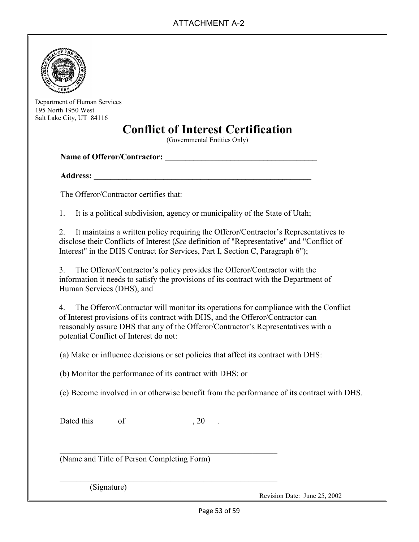

Department of Human Services 195 North 1950 West Salt Lake City, UT 84116

## **Conflict of Interest Certification**

(Governmental Entities Only)

**Name of Offeror/Contractor: \_\_\_\_\_\_\_\_\_\_\_\_\_\_\_\_\_\_\_\_\_\_\_\_\_\_\_\_\_\_\_\_\_\_\_\_\_** 

**Address: \_\_\_\_\_\_\_\_\_\_\_\_\_\_\_\_\_\_\_\_\_\_\_\_\_\_\_\_\_\_\_\_\_\_\_\_\_\_\_\_\_\_\_\_\_\_\_\_\_\_\_\_\_** 

The Offeror/Contractor certifies that:

1. It is a political subdivision, agency or municipality of the State of Utah;

2. It maintains a written policy requiring the Offeror/Contractor's Representatives to disclose their Conflicts of Interest (*See* definition of "Representative" and "Conflict of Interest" in the DHS Contract for Services, Part I, Section C, Paragraph 6");

3. The Offeror/Contractor's policy provides the Offeror/Contractor with the information it needs to satisfy the provisions of its contract with the Department of Human Services (DHS), and

4. The Offeror/Contractor will monitor its operations for compliance with the Conflict of Interest provisions of its contract with DHS, and the Offeror/Contractor can reasonably assure DHS that any of the Offeror/Contractor's Representatives with a potential Conflict of Interest do not:

(a) Make or influence decisions or set policies that affect its contract with DHS:

(b) Monitor the performance of its contract with DHS; or

\_\_\_\_\_\_\_\_\_\_\_\_\_\_\_\_\_\_\_\_\_\_\_\_\_\_\_\_\_\_\_\_\_\_\_\_\_\_\_\_\_\_\_\_\_\_\_\_\_\_\_\_\_

\_\_\_\_\_\_\_\_\_\_\_\_\_\_\_\_\_\_\_\_\_\_\_\_\_\_\_\_\_\_\_\_\_\_\_\_\_\_\_\_\_\_\_\_\_\_\_\_\_\_\_\_\_

(c) Become involved in or otherwise benefit from the performance of its contract with DHS.

Dated this of the set of the set of the set of the set of the set of the set of the set of the set of the set of the set of the set of the set of the set of the set of the set of the set of the set of the set of the set of

(Name and Title of Person Completing Form)

(Signature)

Revision Date: June 25, 2002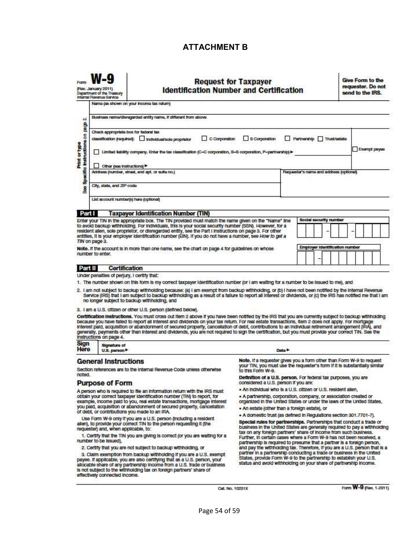#### **ATTACHMENT B**

|                                         | <b>Request for Taxpayer</b> |  |
|-----------------------------------------|-----------------------------|--|
| identification Number and Certification |                             |  |

**Give Form to the** requester. Do not send to the IRS.

| Business name/disregarded entity name, if different from above<br>$\ddot{\text{o}}$<br>Print or type<br>Instructions on page<br>Check appropriate box for federal tax<br>S Corporation<br>C Corporation<br>Partnorship Trust/cetato<br>classification (required): Individual/sole proprietor<br>Limited lability company. Enter the tax classification (C=C corporation, S=S corporation, P=partnership)><br><b>COLLEGE</b><br>Other (see instructions)<br>M.<br>ecific<br>Address (number, street, and apt. or suite no.)<br>Requester's name and address (optional) |              |
|-----------------------------------------------------------------------------------------------------------------------------------------------------------------------------------------------------------------------------------------------------------------------------------------------------------------------------------------------------------------------------------------------------------------------------------------------------------------------------------------------------------------------------------------------------------------------|--------------|
|                                                                                                                                                                                                                                                                                                                                                                                                                                                                                                                                                                       |              |
|                                                                                                                                                                                                                                                                                                                                                                                                                                                                                                                                                                       | Exampt payee |
| å<br>City, state, and ZIP code<br>S <sub>8</sub>                                                                                                                                                                                                                                                                                                                                                                                                                                                                                                                      |              |
| List account number(s) here (optional)<br>Part I<br><b>Taxpaver Identification Number (TIN)</b>                                                                                                                                                                                                                                                                                                                                                                                                                                                                       |              |
| Social security number<br>Enter your TIN In the appropriate box. The TIN provided must match the name given on the "Name" line<br>to avoid backup withholding. For individuals, this is your social security number (SSN). However, for a<br>resident allen, sole proprietor, or disregarded entity, see the Part I instructions on page 3. For other<br>entities, it is your employer identification number (EIN). If you do not have a number, see How to get a<br>TIN on page 3.                                                                                   |              |
| Employer Identification number<br>Note. If the account is in more than one name, see the chart on page 4 for guidelines on whose<br>number to enter.                                                                                                                                                                                                                                                                                                                                                                                                                  |              |

#### Part II **Certification**

(Rov. January 2011)

**Donartmont of the Tru** 

Under penalties of perjury, I certify that:

1. The number shown on this form is my correct taxpayer identification number (or I am walting for a number to be issued to me), and

- 2. I am not subject to backup withholding because: (a) I am exempt from backup withholding, or (b) I have not been notified by the internal Revenue<br>Service (IRS) that I am subject to backup withholding as a result of a fai no longer subject to backup withholding, and
- 3. I am a U.S. citizen or other U.S. person (defined below).

Certification Instructions. You must cross out item 2 above if you have been notified by the IRS that you are currently subject to backup withholding<br>because you have failed to report all interest and dividends on your tax Interest paid, acquisition or abandonment of secured property, cancellation of debt, contributions to an individual retirement arrangement (IRA), and generally, payments other than interest and dividends, you are not required to sign the certification, but you must provide your correct TIN. See the instructions on page 4.

| Sign<br>Here | <b>Signature of</b> |
|--------------|---------------------|
|              | U.S. person         |

#### **General Instructions**

Section references are to the Internal Revenue Code unless otherwise noted.

#### **Purpose of Form**

A person who is required to file an information return with the IRS must obtain your correct taxpayer identification number (TIN) to report, for example, income paid to you, real estate transactions, mortgage interest<br>you paid, acquisition or abandonment of secured property, cancellation of debt, or contributions you made to an IRA.

Use Form W-9 only if you are a U.S. person (Including a resident allen), to provide your correct TIN to the person requesting it (the<br>requester) and, when applicable, to:

1. Certify that the TIN you are giving is correct (or you are waiting for a number to be issued).

2. Certify that you are not subject to backup withholding, or

3. Claim exemption from backup withholding if you are a U.S. exempt payee. If applicable, you are also certifying that as a U.S. person, your<br>allocable share of any partnership income from a U.S. trade or business<br>is not subject to the withholding tax on foreign partners' share of effectively connected income.

Note. If a requester gives you a form other than Form W-9 to request

your TIN, you must use the requester's form if it is substantially similar to this Form W-9.

Definition of a U.S. person. For federal tax purposes, you are considered a U.S. person if you are:

- . An individual who is a U.S. citizen or U.S. resident alien.
- 

. A partnership, corporation, company, or association created or<br>organized in the United States or under the laws of the United States,

· An estate (other than a foreign estate), or

Data h

· A domestic trust (as defined in Regulations section 301.7701-7). Special rules for partnerships. Partnerships that conduct a trade or business in the United States are generally required to pay a withholding<br>tax on any foreign partners' share of income from such business. Further, in certain cases where a Form W-9 has not been received, a partnership is required to presume that a partner is a foreign person, and pay the withholding tax. Therefore, if you are a U.S. person that is a partner in a partnership conducting a trade or business in the United States, provide Form W-9 to the partnership to establish your U.S.<br>status and avoid withholding on your share of partnership income.

Cat. No. 10231X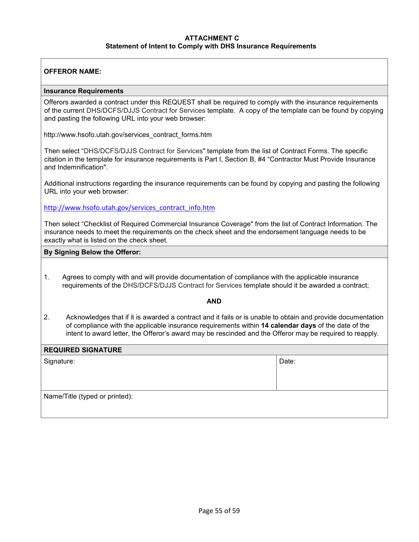#### **ATTACHMENT C Statement of Intent to Comply with DHS Insurance Requirements**

#### **OFFEROR NAME:**

#### **Insurance Requirements**

Offerors awarded a contract under this REQUEST shall be required to comply with the insurance requirements of the current DHS/DCFS/DJJS Contract for Services template. A copy of the template can be found by copying and pasting the following URL into your web browser:

http://www.hsofo.utah.gov/services\_contract\_forms.htm

Then select "DHS/DCFS/DJJS Contract for Services" template from the list of Contract Forms. The specific citation in the template for insurance requirements is Part I, Section B, #4 "Contractor Must Provide Insurance and Indemnification".

Additional instructions regarding the insurance requirements can be found by copying and pasting the following URL into your web browser:

http://www.hsofo.utah.gov/services\_contract\_info.htm

Then select "Checklist of Required Commercial Insurance Coverage" from the list of Contract Information. The insurance needs to meet the requirements on the check sheet and the endorsement language needs to be exactly what is listed on the check sheet.

#### **By Signing Below the Offeror:**

1. Agrees to comply with and will provide documentation of compliance with the applicable insurance requirements of the DHS/DCFS/DJJS Contract for Services template should it be awarded a contract;

#### **AND**

2. Acknowledges that if it is awarded a contract and it fails or is unable to obtain and provide documentation of compliance with the applicable insurance requirements within **14 calendar days** of the date of the intent to award letter, the Offeror's award may be rescinded and the Offeror may be required to reapply.

#### **REQUIRED SIGNATURE**

| Signature:                     | Date: |
|--------------------------------|-------|
| Name/Title (typed or printed): |       |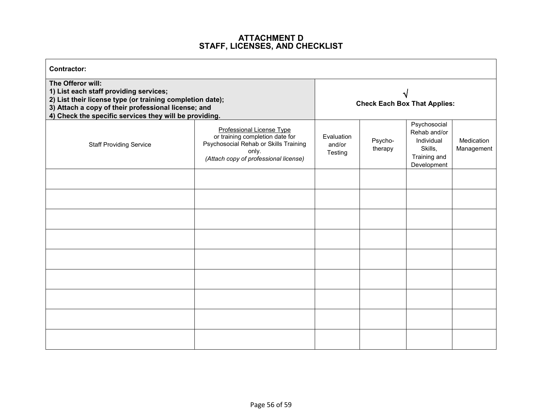# **ATTACHMENT D STAFF, LICENSES, AND CHECKLIST**

| <b>Contractor:</b>                                                                                                                                                                                                                        |                                                                                                                                                                |                                     |                    |                                                                                      |                          |
|-------------------------------------------------------------------------------------------------------------------------------------------------------------------------------------------------------------------------------------------|----------------------------------------------------------------------------------------------------------------------------------------------------------------|-------------------------------------|--------------------|--------------------------------------------------------------------------------------|--------------------------|
| The Offeror will:<br>1) List each staff providing services;<br>2) List their license type (or training completion date);<br>3) Attach a copy of their professional license; and<br>4) Check the specific services they will be providing. |                                                                                                                                                                | <b>Check Each Box That Applies:</b> |                    |                                                                                      |                          |
| <b>Staff Providing Service</b>                                                                                                                                                                                                            | <b>Professional License Type</b><br>or training completion date for<br>Psychosocial Rehab or Skills Training<br>only.<br>(Attach copy of professional license) | Evaluation<br>and/or<br>Testing     | Psycho-<br>therapy | Psychosocial<br>Rehab and/or<br>Individual<br>Skills,<br>Training and<br>Development | Medication<br>Management |
|                                                                                                                                                                                                                                           |                                                                                                                                                                |                                     |                    |                                                                                      |                          |
|                                                                                                                                                                                                                                           |                                                                                                                                                                |                                     |                    |                                                                                      |                          |
|                                                                                                                                                                                                                                           |                                                                                                                                                                |                                     |                    |                                                                                      |                          |
|                                                                                                                                                                                                                                           |                                                                                                                                                                |                                     |                    |                                                                                      |                          |
|                                                                                                                                                                                                                                           |                                                                                                                                                                |                                     |                    |                                                                                      |                          |
|                                                                                                                                                                                                                                           |                                                                                                                                                                |                                     |                    |                                                                                      |                          |
|                                                                                                                                                                                                                                           |                                                                                                                                                                |                                     |                    |                                                                                      |                          |
|                                                                                                                                                                                                                                           |                                                                                                                                                                |                                     |                    |                                                                                      |                          |
|                                                                                                                                                                                                                                           |                                                                                                                                                                |                                     |                    |                                                                                      |                          |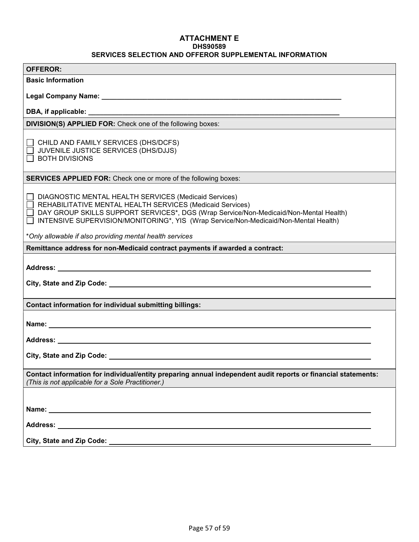#### **ATTACHMENT E DHS90589 SERVICES SELECTION AND OFFEROR SUPPLEMENTAL INFORMATION**

| <b>OFFEROR:</b>                                                                                                                                                                                                                     |
|-------------------------------------------------------------------------------------------------------------------------------------------------------------------------------------------------------------------------------------|
| <b>Basic Information</b>                                                                                                                                                                                                            |
|                                                                                                                                                                                                                                     |
|                                                                                                                                                                                                                                     |
| <b>DIVISION(S) APPLIED FOR:</b> Check one of the following boxes:                                                                                                                                                                   |
|                                                                                                                                                                                                                                     |
| CHILD AND FAMILY SERVICES (DHS/DCFS)                                                                                                                                                                                                |
| JUVENILE JUSTICE SERVICES (DHS/DJJS)                                                                                                                                                                                                |
| <b>BOTH DIVISIONS</b>                                                                                                                                                                                                               |
| <b>SERVICES APPLIED FOR:</b> Check one or more of the following boxes:                                                                                                                                                              |
|                                                                                                                                                                                                                                     |
| DIAGNOSTIC MENTAL HEALTH SERVICES (Medicaid Services)<br>REHABILITATIVE MENTAL HEALTH SERVICES (Medicaid Services)                                                                                                                  |
| DAY GROUP SKILLS SUPPORT SERVICES*, DGS (Wrap Service/Non-Medicaid/Non-Mental Health)                                                                                                                                               |
| INTENSIVE SUPERVISION/MONITORING*, YIS (Wrap Service/Non-Medicaid/Non-Mental Health)                                                                                                                                                |
| *Only allowable if also providing mental health services                                                                                                                                                                            |
| Remittance address for non-Medicaid contract payments if awarded a contract:                                                                                                                                                        |
|                                                                                                                                                                                                                                     |
|                                                                                                                                                                                                                                     |
|                                                                                                                                                                                                                                     |
| <b>Contact information for individual submitting billings:</b>                                                                                                                                                                      |
|                                                                                                                                                                                                                                     |
| Name: Name and the state of the state of the state of the state of the state of the state of the state of the state of the state of the state of the state of the state of the state of the state of the state of the state of      |
| Address: <u>Address:</u> Address: Address: Address: Address: Address: Address: Address: Address: Address: Address: Address: Address: Address: Address: Address: Address: Address: Address: Address: Address: Address: Address: Addr |
|                                                                                                                                                                                                                                     |
|                                                                                                                                                                                                                                     |
| Contact information for individual/entity preparing annual independent audit reports or financial statements:                                                                                                                       |
| (This is not applicable for a Sole Practitioner.)                                                                                                                                                                                   |
|                                                                                                                                                                                                                                     |
|                                                                                                                                                                                                                                     |
|                                                                                                                                                                                                                                     |
|                                                                                                                                                                                                                                     |
|                                                                                                                                                                                                                                     |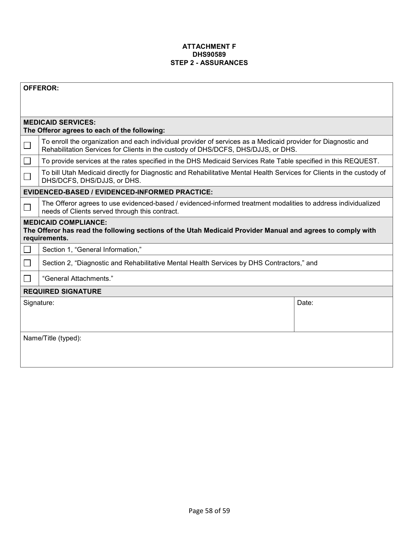#### **ATTACHMENT F DHS90589 STEP 2 - ASSURANCES**

|                           | <b>OFFEROR:</b>                                                                                                                                                                                    |  |  |  |
|---------------------------|----------------------------------------------------------------------------------------------------------------------------------------------------------------------------------------------------|--|--|--|
|                           |                                                                                                                                                                                                    |  |  |  |
|                           | <b>MEDICAID SERVICES:</b>                                                                                                                                                                          |  |  |  |
|                           | The Offeror agrees to each of the following:                                                                                                                                                       |  |  |  |
|                           | To enroll the organization and each individual provider of services as a Medicaid provider for Diagnostic and<br>Rehabilitation Services for Clients in the custody of DHS/DCFS, DHS/DJJS, or DHS. |  |  |  |
|                           | To provide services at the rates specified in the DHS Medicaid Services Rate Table specified in this REQUEST.                                                                                      |  |  |  |
|                           | To bill Utah Medicaid directly for Diagnostic and Rehabilitative Mental Health Services for Clients in the custody of<br>DHS/DCFS, DHS/DJJS, or DHS.                                               |  |  |  |
|                           | <b>EVIDENCED-BASED / EVIDENCED-INFORMED PRACTICE:</b>                                                                                                                                              |  |  |  |
|                           | The Offeror agrees to use evidenced-based / evidenced-informed treatment modalities to address individualized<br>needs of Clients served through this contract.                                    |  |  |  |
|                           | <b>MEDICAID COMPLIANCE:</b><br>The Offeror has read the following sections of the Utah Medicaid Provider Manual and agrees to comply with<br>requirements.                                         |  |  |  |
|                           | Section 1, "General Information,"                                                                                                                                                                  |  |  |  |
|                           | Section 2, "Diagnostic and Rehabilitative Mental Health Services by DHS Contractors," and                                                                                                          |  |  |  |
|                           | "General Attachments."                                                                                                                                                                             |  |  |  |
| <b>REQUIRED SIGNATURE</b> |                                                                                                                                                                                                    |  |  |  |
| Date:<br>Signature:       |                                                                                                                                                                                                    |  |  |  |
|                           |                                                                                                                                                                                                    |  |  |  |
|                           |                                                                                                                                                                                                    |  |  |  |
|                           | Name/Title (typed):                                                                                                                                                                                |  |  |  |
|                           |                                                                                                                                                                                                    |  |  |  |
|                           |                                                                                                                                                                                                    |  |  |  |